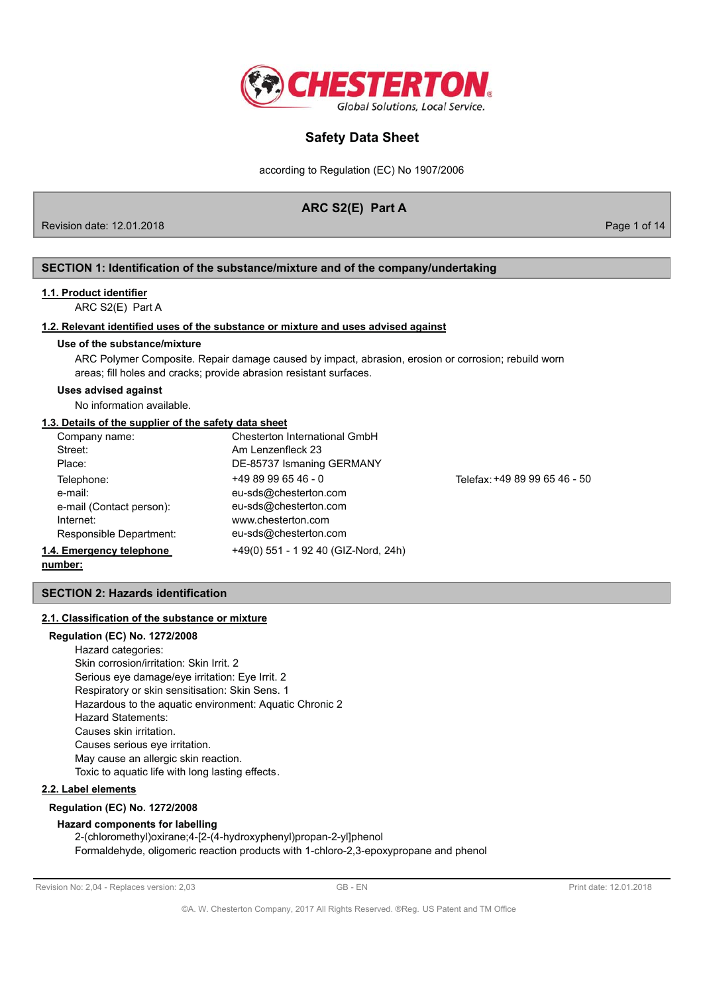

according to Regulation (EC) No 1907/2006

## ARC S2(E) Part A

Revision date: 12.01.2018

Page 1 of 14

## SECTION 1: Identification of the substance/mixture and of the company/undertaking

## 1.1. Product identifier

ARC S2(E) Part A

### 1.2. Relevant identified uses of the substance or mixture and uses advised against

### Use of the substance/mixture

ARC Polymer Composite. Repair damage caused by impact, abrasion, erosion or corrosion; rebuild worn areas; fill holes and cracks; provide abrasion resistant surfaces.

#### **Uses advised against**

No information available.

## 1.3. Details of the supplier of the safety data sheet

| Company name:            | Chesterton International GmbH        |                               |
|--------------------------|--------------------------------------|-------------------------------|
| Street:                  | Am Lenzenfleck 23                    |                               |
| Place:                   | DE-85737 Ismaning GERMANY            |                               |
| Telephone:               | $+4989996546 - 0$                    | Telefax: +49 89 99 65 46 - 50 |
| e-mail:                  | eu-sds@chesterton.com                |                               |
| e-mail (Contact person): | eu-sds@chesterton.com                |                               |
| Internet:                | www.chesterton.com                   |                               |
| Responsible Department:  | eu-sds@chesterton.com                |                               |
| 1.4. Emergency telephone | +49(0) 551 - 1 92 40 (GIZ-Nord, 24h) |                               |

number:

## **SECTION 2: Hazards identification**

## 2.1. Classification of the substance or mixture

## **Regulation (EC) No. 1272/2008** Hazard categories: Skin corrosion/irritation: Skin Irrit. 2 Serious eye damage/eye irritation: Eye Irrit. 2 Respiratory or skin sensitisation: Skin Sens. 1 Hazardous to the aquatic environment: Aquatic Chronic 2 Hazard Statements: Causes skin irritation. Causes serious eye irritation. May cause an allergic skin reaction.

Toxic to aquatic life with long lasting effects.

## 2.2. Label elements

## **Regulation (EC) No. 1272/2008**

### **Hazard components for labelling**

2-(chloromethyl)oxirane;4-[2-(4-hydroxyphenyl)propan-2-yl]phenol Formaldehyde, oligomeric reaction products with 1-chloro-2,3-epoxypropane and phenol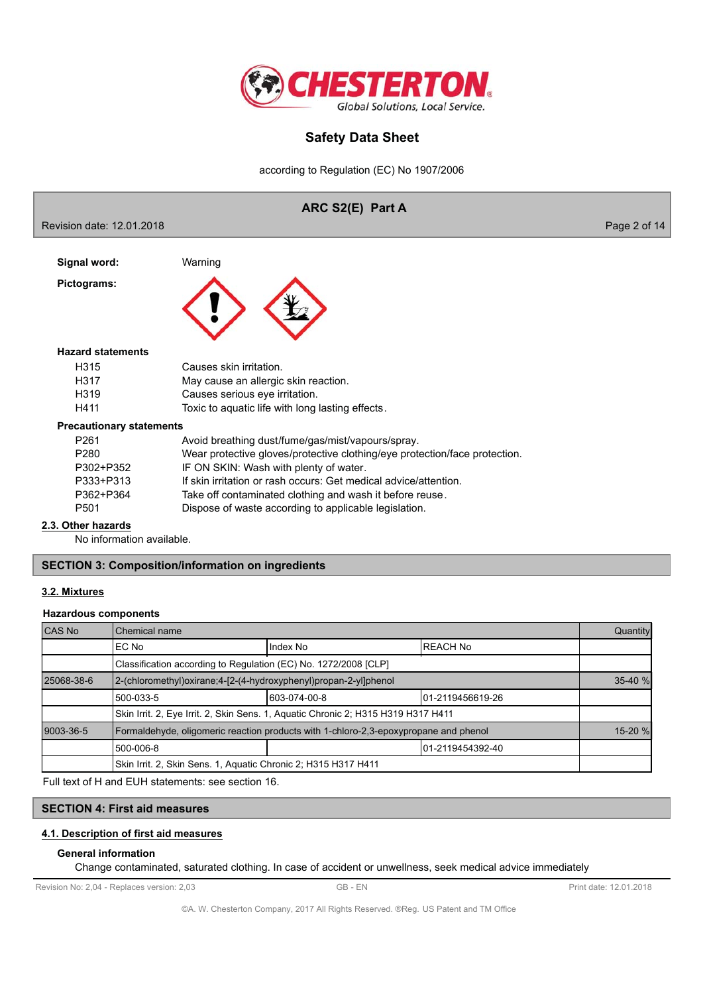

according to Regulation (EC) No 1907/2006

### ARC S2(E) Part A Revision date: 12.01.2018 Page 2 of 14 Warning Signal word: Pictograms: **Hazard statements** H315 Causes skin irritation. H317 May cause an allergic skin reaction. H319 Causes serious eye irritation. H411 Toxic to aquatic life with long lasting effects. **Precautionary statements** P261 Avoid breathing dust/fume/gas/mist/vapours/spray. P280 Wear protective gloves/protective clothing/eye protection/face protection. P302+P352 IF ON SKIN: Wash with plenty of water. If skin irritation or rash occurs: Get medical advice/attention. P333+P313 P362+P364 Take off contaminated clothing and wash it before reuse. P<sub>501</sub> Dispose of waste according to applicable legislation. 2.3. Other hazards No information available. **SECTION 3: Composition/information on ingredients**

# 3.2. Mixtures

## **Hazardous components**

| CAS No                                                         | <b>Chemical name</b>                                                                 |              |                   | Quantity |  |  |
|----------------------------------------------------------------|--------------------------------------------------------------------------------------|--------------|-------------------|----------|--|--|
|                                                                | IEC No                                                                               | Index No     | IREACH No         |          |  |  |
|                                                                | Classification according to Regulation (EC) No. 1272/2008 [CLP]                      |              |                   |          |  |  |
| 25068-38-6                                                     | 2-(chloromethyl)oxirane;4-[2-(4-hydroxyphenyl)propan-2-yl]phenol                     |              |                   | 35-40 %  |  |  |
|                                                                | 500-033-5                                                                            | 603-074-00-8 | 101-2119456619-26 |          |  |  |
|                                                                | Skin Irrit. 2, Eye Irrit. 2, Skin Sens. 1, Aquatic Chronic 2; H315 H319 H317 H411    |              |                   |          |  |  |
| 9003-36-5                                                      | Formaldehyde, oligomeric reaction products with 1-chloro-2,3-epoxypropane and phenol |              |                   | 15-20 %  |  |  |
|                                                                | l 500-006-8                                                                          |              | 01-2119454392-40  |          |  |  |
| Skin Irrit. 2, Skin Sens. 1, Aquatic Chronic 2; H315 H317 H411 |                                                                                      |              |                   |          |  |  |

Full text of H and EUH statements: see section 16.

## **SECTION 4: First aid measures**

## 4.1. Description of first aid measures

### **General information**

Change contaminated, saturated clothing. In case of accident or unwellness, seek medical advice immediately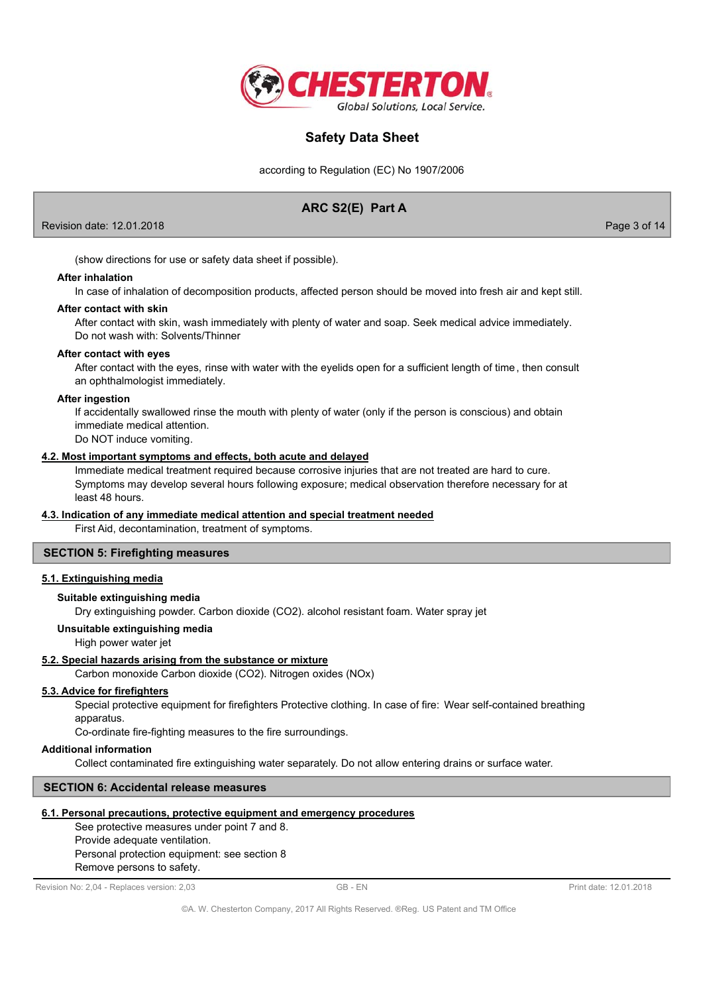

according to Regulation (EC) No 1907/2006

# ARC S2(E) Part A

Revision date: 12.01.2018

Page 3 of 14

(show directions for use or safety data sheet if possible).

#### **After inhalation**

In case of inhalation of decomposition products, affected person should be moved into fresh air and kept still.

### After contact with skin

After contact with skin, wash immediately with plenty of water and soap. Seek medical advice immediately. Do not wash with: Solvents/Thinner

### After contact with eyes

After contact with the eyes, rinse with water with the eyelids open for a sufficient length of time, then consult an ophthalmologist immediately.

### **After ingestion**

If accidentally swallowed rinse the mouth with plenty of water (only if the person is conscious) and obtain immediate medical attention.

Do NOT induce vomiting.

### 4.2. Most important symptoms and effects, both acute and delayed

Immediate medical treatment required because corrosive injuries that are not treated are hard to cure. Symptoms may develop several hours following exposure; medical observation therefore necessary for at least 48 hours

### 4.3. Indication of any immediate medical attention and special treatment needed

First Aid, decontamination, treatment of symptoms.

## **SECTION 5: Firefighting measures**

## 5.1. Extinguishing media

## Suitable extinguishing media

Dry extinguishing powder. Carbon dioxide (CO2). alcohol resistant foam. Water spray jet

### Unsuitable extinguishing media

High power water jet

### 5.2. Special hazards arising from the substance or mixture

Carbon monoxide Carbon dioxide (CO2). Nitrogen oxides (NOx)

## 5.3. Advice for firefighters

Special protective equipment for firefighters Protective clothing. In case of fire: Wear self-contained breathing apparatus.

Co-ordinate fire-fighting measures to the fire surroundings.

### **Additional information**

Collect contaminated fire extinguishing water separately. Do not allow entering drains or surface water.

## **SECTION 6: Accidental release measures**

### 6.1. Personal precautions, protective equipment and emergency procedures

See protective measures under point 7 and 8. Provide adequate ventilation. Personal protection equipment: see section 8

Revision No: 2,04 - Replaces version: 2,03

Remove persons to safety.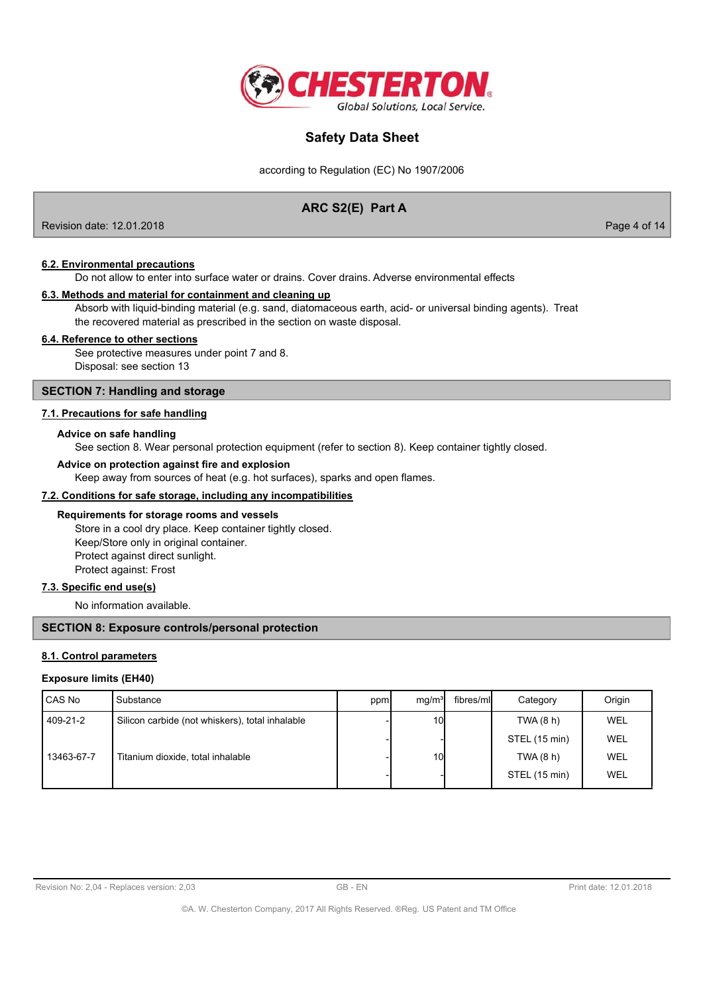

according to Regulation (EC) No 1907/2006

## ARC S2(E) Part A

Revision date: 12.01.2018

Page 4 of 14

### **6.2. Environmental precautions**

Do not allow to enter into surface water or drains. Cover drains. Adverse environmental effects

### 6.3. Methods and material for containment and cleaning up

Absorb with liquid-binding material (e.g. sand, diatomaceous earth, acid- or universal binding agents). Treat the recovered material as prescribed in the section on waste disposal.

### 6.4. Reference to other sections

See protective measures under point 7 and 8. Disposal: see section 13

## **SECTION 7: Handling and storage**

## 7.1. Precautions for safe handling

### Advice on safe handling

See section 8. Wear personal protection equipment (refer to section 8). Keep container tightly closed.

### Advice on protection against fire and explosion

Keep away from sources of heat (e.g. hot surfaces), sparks and open flames.

### 7.2. Conditions for safe storage, including any incompatibilities

### Requirements for storage rooms and vessels

Store in a cool dry place. Keep container tightly closed. Keep/Store only in original container. Protect against direct sunlight. Protect against: Frost

## 7.3. Specific end use(s)

No information available.

### **SECTION 8: Exposure controls/personal protection**

### 8.1. Control parameters

### **Exposure limits (EH40)**

| CAS No     | Substance                                       | ppm | mq/m <sup>3</sup> | fibres/mll | Category      | Origin     |
|------------|-------------------------------------------------|-----|-------------------|------------|---------------|------------|
| 409-21-2   | Silicon carbide (not whiskers), total inhalable |     | 10 <sup>1</sup>   |            | TWA(8 h)      | WEL        |
|            |                                                 |     |                   |            | STEL (15 min) | WEL        |
| 13463-67-7 | Titanium dioxide, total inhalable               |     | 10 <sup>1</sup>   |            | TWA (8 h)     | <b>WEL</b> |
|            |                                                 |     |                   |            | STEL (15 min) | WEL        |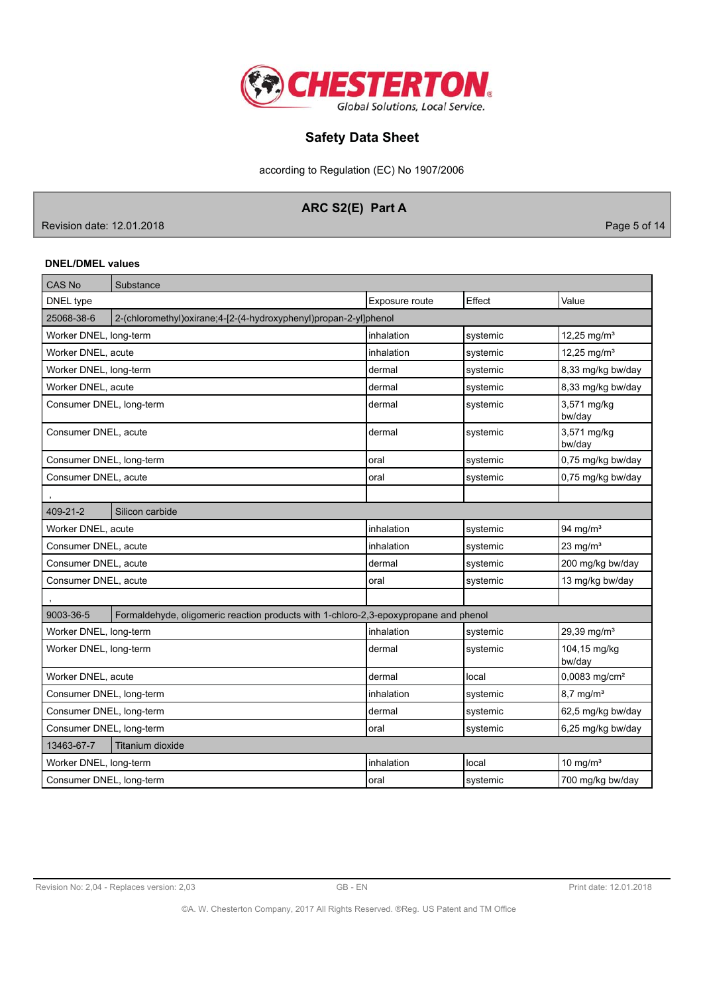

according to Regulation (EC) No 1907/2006

# ARC S2(E) Part A

Revision date: 12.01.2018

Page 5 of 14

## **DNEL/DMEL values**

| <b>CAS No</b>                                                                                     | Substance                                                            |                |          |                           |
|---------------------------------------------------------------------------------------------------|----------------------------------------------------------------------|----------------|----------|---------------------------|
| DNEL type                                                                                         |                                                                      | Exposure route | Effect   | Value                     |
| 25068-38-6                                                                                        | 2-(chloromethyl) oxirane; 4-[2-(4-hydroxyphenyl) propan-2-yl] phenol |                |          |                           |
| Worker DNEL, long-term                                                                            |                                                                      | inhalation     | systemic | 12,25 mg/m <sup>3</sup>   |
| Worker DNEL, acute                                                                                |                                                                      | inhalation     | systemic | 12,25 mg/m <sup>3</sup>   |
| Worker DNEL, long-term                                                                            |                                                                      | dermal         | systemic | 8,33 mg/kg bw/day         |
| Worker DNEL, acute                                                                                |                                                                      | dermal         | systemic | 8,33 mg/kg bw/day         |
| Consumer DNEL, long-term                                                                          |                                                                      | dermal         | systemic | 3,571 mg/kg<br>bw/day     |
| Consumer DNEL, acute                                                                              |                                                                      | dermal         | systemic | 3,571 mg/kg<br>bw/day     |
| Consumer DNEL, long-term                                                                          |                                                                      | oral           | systemic | 0,75 mg/kg bw/day         |
| Consumer DNEL, acute                                                                              |                                                                      | oral           | systemic | 0,75 mg/kg bw/day         |
|                                                                                                   |                                                                      |                |          |                           |
| 409-21-2                                                                                          | Silicon carbide                                                      |                |          |                           |
| Worker DNEL, acute                                                                                |                                                                      | inhalation     | systemic | 94 mg/ $m3$               |
| Consumer DNEL, acute                                                                              |                                                                      | inhalation     | systemic | $23$ mg/m <sup>3</sup>    |
| Consumer DNEL, acute                                                                              |                                                                      | dermal         | systemic | 200 mg/kg bw/day          |
| Consumer DNEL, acute                                                                              |                                                                      | oral           | systemic | 13 mg/kg bw/day           |
|                                                                                                   |                                                                      |                |          |                           |
| 9003-36-5<br>Formaldehyde, oligomeric reaction products with 1-chloro-2,3-epoxypropane and phenol |                                                                      |                |          |                           |
| Worker DNEL, long-term                                                                            |                                                                      | inhalation     | systemic | 29,39 mg/m <sup>3</sup>   |
| Worker DNEL, long-term                                                                            |                                                                      | dermal         | systemic | 104,15 mg/kg<br>bw/day    |
| Worker DNEL, acute                                                                                |                                                                      | dermal         | local    | 0,0083 mg/cm <sup>2</sup> |
| Consumer DNEL, long-term                                                                          |                                                                      | inhalation     | systemic | $8,7$ mg/m <sup>3</sup>   |
| Consumer DNEL, long-term                                                                          |                                                                      | dermal         | systemic | 62,5 mg/kg bw/day         |
| Consumer DNEL, long-term                                                                          |                                                                      | oral           | systemic | 6,25 mg/kg bw/day         |
| 13463-67-7                                                                                        | <b>Titanium dioxide</b>                                              |                |          |                           |
| Worker DNEL, long-term                                                                            |                                                                      | inhalation     | local    | 10 mg/ $m3$               |
| Consumer DNEL, long-term                                                                          |                                                                      | oral           | systemic | 700 mg/kg bw/day          |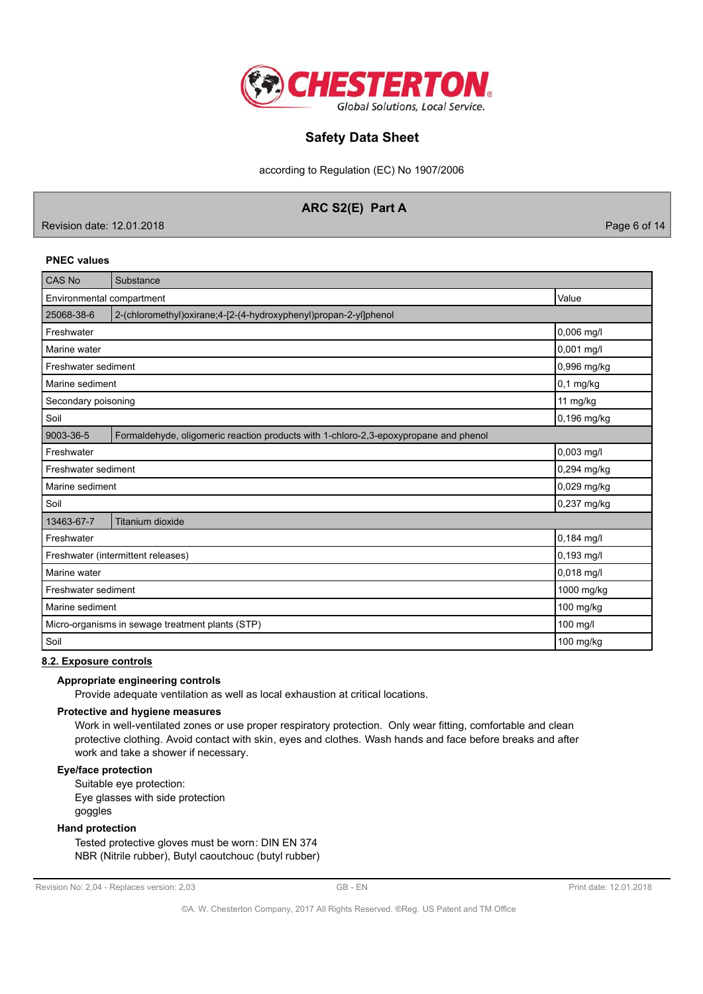

according to Regulation (EC) No 1907/2006

## ARC S2(E) Part A

Revision date: 12.01.2018

Page 6 of 14

### **PNEC values**

| <b>CAS No</b>                      | Substance                                                                            |             |
|------------------------------------|--------------------------------------------------------------------------------------|-------------|
| Value<br>Environmental compartment |                                                                                      |             |
| 25068-38-6                         | 2-(chloromethyl)oxirane;4-[2-(4-hydroxyphenyl)propan-2-yl]phenol                     |             |
| Freshwater                         |                                                                                      | 0,006 mg/l  |
| Marine water                       |                                                                                      | 0,001 mg/l  |
| Freshwater sediment                |                                                                                      | 0,996 mg/kg |
| Marine sediment                    |                                                                                      | $0,1$ mg/kg |
| Secondary poisoning                |                                                                                      | 11 mg/kg    |
| Soil                               |                                                                                      | 0,196 mg/kg |
| 9003-36-5                          | Formaldehyde, oligomeric reaction products with 1-chloro-2,3-epoxypropane and phenol |             |
| Freshwater                         |                                                                                      | 0,003 mg/l  |
| Freshwater sediment                |                                                                                      | 0,294 mg/kg |
| Marine sediment                    |                                                                                      | 0,029 mg/kg |
| Soil                               |                                                                                      | 0,237 mg/kg |
| 13463-67-7                         | Titanium dioxide                                                                     |             |
| Freshwater                         |                                                                                      | 0,184 mg/l  |
| Freshwater (intermittent releases) |                                                                                      | 0,193 mg/l  |
| Marine water                       |                                                                                      | 0,018 mg/l  |
| Freshwater sediment                |                                                                                      | 1000 mg/kg  |
| Marine sediment                    |                                                                                      | 100 mg/kg   |
|                                    | Micro-organisms in sewage treatment plants (STP)                                     | 100 mg/l    |
| Soil                               |                                                                                      | 100 mg/kg   |

## 8.2. Exposure controls

## Appropriate engineering controls

Provide adequate ventilation as well as local exhaustion at critical locations.

### Protective and hygiene measures

Work in well-ventilated zones or use proper respiratory protection. Only wear fitting, comfortable and clean protective clothing. Avoid contact with skin, eyes and clothes. Wash hands and face before breaks and after work and take a shower if necessary.

### Eye/face protection

Suitable eye protection: Eye glasses with side protection goggles

### **Hand protection**

Tested protective gloves must be worn: DIN EN 374 NBR (Nitrile rubber), Butyl caoutchouc (butyl rubber)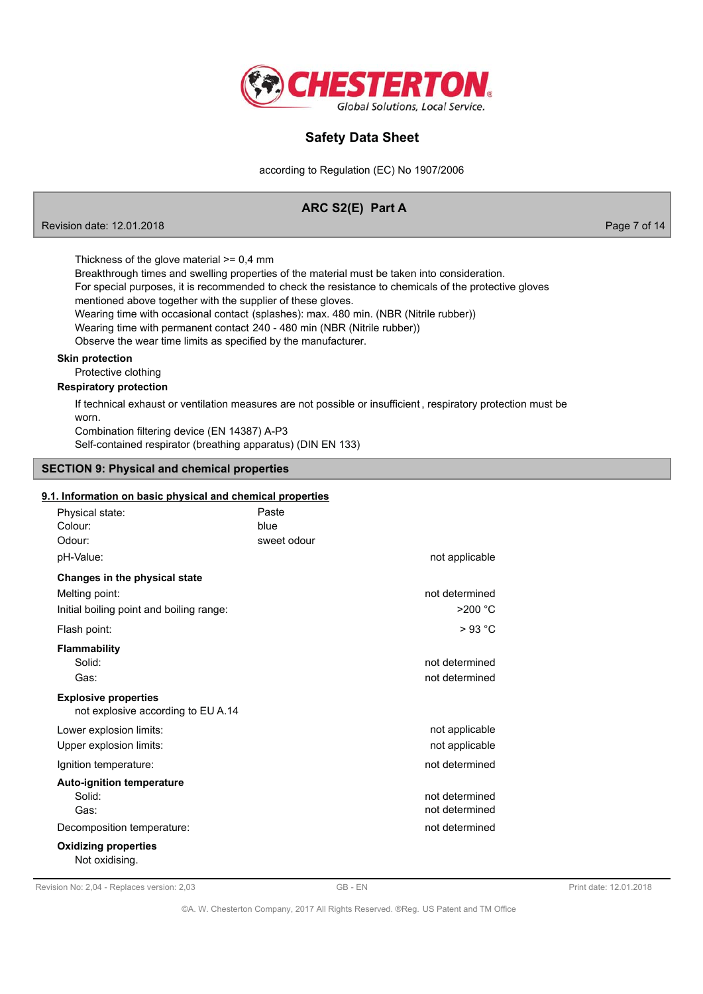

according to Regulation (EC) No 1907/2006

## ARC S2(E) Part A

Page 7 of 14

Thickness of the glove material  $>= 0.4$  mm

Breakthrough times and swelling properties of the material must be taken into consideration.

For special purposes, it is recommended to check the resistance to chemicals of the protective gloves

mentioned above together with the supplier of these gloves.

Wearing time with occasional contact (splashes): max. 480 min. (NBR (Nitrile rubber))

Wearing time with permanent contact 240 - 480 min (NBR (Nitrile rubber))

Observe the wear time limits as specified by the manufacturer.

## **Skin protection**

Revision date: 12.01.2018

Protective clothing

## **Respiratory protection**

If technical exhaust or ventilation measures are not possible or insufficient, respiratory protection must be worn.

Combination filtering device (EN 14387) A-P3 Self-contained respirator (breathing apparatus) (DIN EN 133)

### **SECTION 9: Physical and chemical properties**

### 9.1. Information on basic physical and chemical properties

| Physical state:<br>Colour:                                        | Paste<br>blue |                |
|-------------------------------------------------------------------|---------------|----------------|
| Odour:                                                            | sweet odour   |                |
| pH-Value:                                                         |               | not applicable |
| Changes in the physical state                                     |               |                |
| Melting point:                                                    |               | not determined |
| Initial boiling point and boiling range:                          |               | $>200$ °C      |
| Flash point:                                                      |               | $>93$ °C       |
| <b>Flammability</b>                                               |               |                |
| Solid:                                                            |               | not determined |
| Gas:                                                              |               | not determined |
| <b>Explosive properties</b><br>not explosive according to EU A.14 |               |                |
| Lower explosion limits:                                           |               | not applicable |
| Upper explosion limits:                                           |               | not applicable |
| Ignition temperature:                                             |               | not determined |
| <b>Auto-ignition temperature</b>                                  |               |                |
| Solid:                                                            |               | not determined |
| Gas:                                                              |               | not determined |
| Decomposition temperature:                                        |               | not determined |
| <b>Oxidizing properties</b><br>Not oxidising.                     |               |                |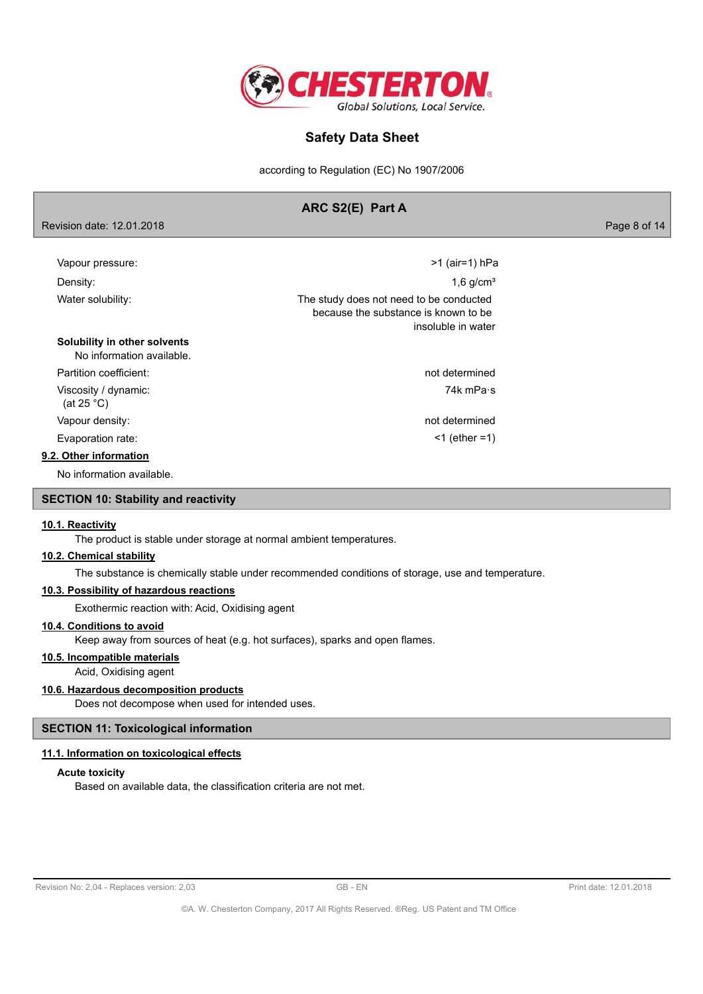

according to Regulation (EC) No 1907/2006

## ARC S2(E) Part A

Page 8 of 14

| Vapour pressure:                                          | >1 (air=1) hPa                                                                                        |
|-----------------------------------------------------------|-------------------------------------------------------------------------------------------------------|
| Density:                                                  | $1,6$ g/cm <sup>3</sup>                                                                               |
| Water solubility:                                         | The study does not need to be conducted<br>because the substance is known to be<br>insoluble in water |
| Solubility in other solvents<br>No information available. |                                                                                                       |
| Partition coefficient:                                    | not determined                                                                                        |
| Viscosity / dynamic:<br>(at 25 $^{\circ}$ C)              | 74k mPa∙s                                                                                             |
| Vapour density:                                           | not determined                                                                                        |
| Evaporation rate:                                         | $<$ 1 (ether = 1)                                                                                     |
| 9.2. Other information                                    |                                                                                                       |
| No information available.                                 |                                                                                                       |

## **SECTION 10: Stability and reactivity**

#### 10.1. Reactivity

The product is stable under storage at normal ambient temperatures.

#### 10.2. Chemical stability

Revision date: 12.01.2018

The substance is chemically stable under recommended conditions of storage, use and temperature.

## 10.3. Possibility of hazardous reactions

Exothermic reaction with: Acid, Oxidising agent

## 10.4. Conditions to avoid

Keep away from sources of heat (e.g. hot surfaces), sparks and open flames.

## 10.5. Incompatible materials

Acid, Oxidising agent

## 10.6. Hazardous decomposition products

Does not decompose when used for intended uses.

### **SECTION 11: Toxicological information**

## 11.1. Information on toxicological effects

#### **Acute toxicity**

Based on available data, the classification criteria are not met.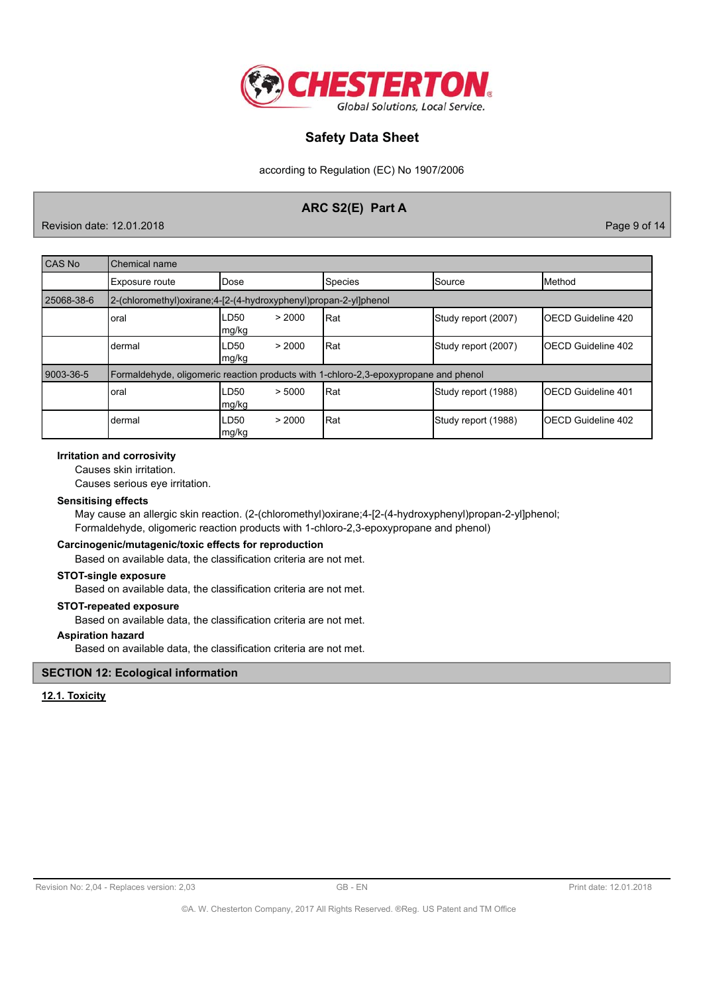

according to Regulation (EC) No 1907/2006

## ARC S2(E) Part A

Revision date: 12.01.2018

Page 9 of 14

| CAS No     | Chemical name                                                                        |                                     |         |                     |                            |
|------------|--------------------------------------------------------------------------------------|-------------------------------------|---------|---------------------|----------------------------|
|            | Exposure route                                                                       | Dose                                | Species | <b>Source</b>       | Method                     |
| 25068-38-6 | 2-(chloromethyl)oxirane;4-[2-(4-hydroxyphenyl)propan-2-yl]phenol                     |                                     |         |                     |                            |
|            | oral                                                                                 | LD50<br>> 2000<br>mg/kg             | lRat    | Study report (2007) | IOECD Guideline 420        |
|            | Idermal                                                                              | LD <sub>50</sub><br>> 2000<br>mg/kg | Rat     | Study report (2007) | <b>IOECD Guideline 402</b> |
| 9003-36-5  | Formaldehyde, oligomeric reaction products with 1-chloro-2,3-epoxypropane and phenol |                                     |         |                     |                            |
|            | oral                                                                                 | > 5000<br>LD50<br>mg/kg             | Rat     | Study report (1988) | <b>IOECD Guideline 401</b> |
|            | dermal                                                                               | LD50<br>> 2000<br>mg/kg             | Rat     | Study report (1988) | <b>IOECD Guideline 402</b> |

### **Irritation and corrosivity**

Causes skin irritation.

Causes serious eye irritation.

## **Sensitising effects**

May cause an allergic skin reaction. (2-(chloromethyl)oxirane;4-[2-(4-hydroxyphenyl)propan-2-yl]phenol; Formaldehyde, oligomeric reaction products with 1-chloro-2,3-epoxypropane and phenol)

## Carcinogenic/mutagenic/toxic effects for reproduction

Based on available data, the classification criteria are not met.

## **STOT-single exposure**

Based on available data, the classification criteria are not met.

### **STOT-repeated exposure**

Based on available data, the classification criteria are not met.

### **Aspiration hazard**

Based on available data, the classification criteria are not met.

### **SECTION 12: Ecological information**

#### 12.1. Toxicity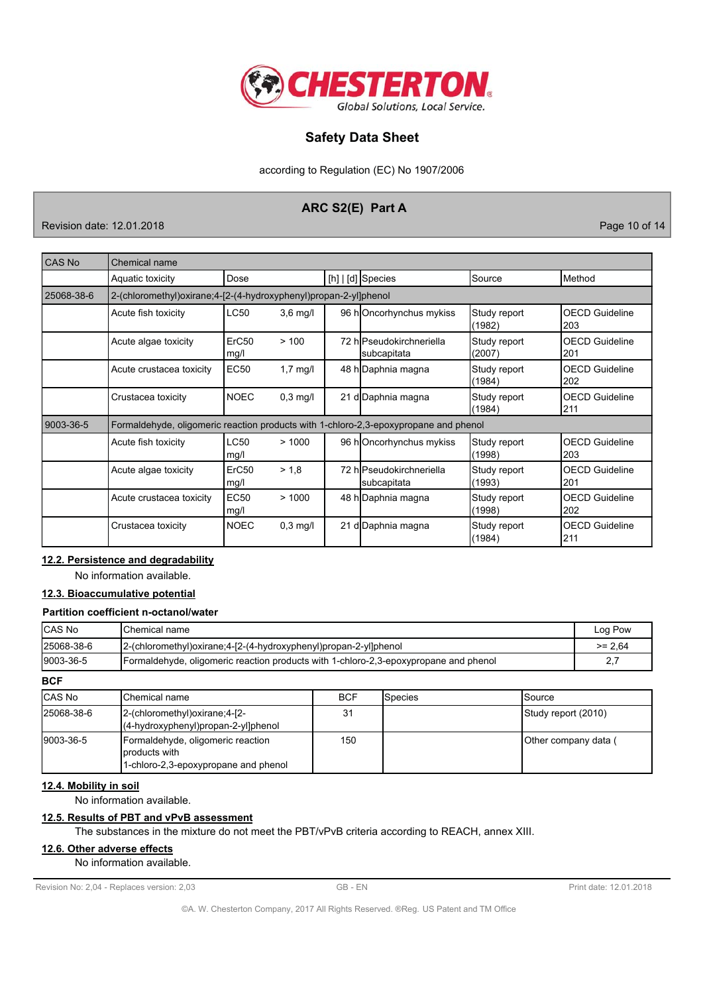

according to Regulation (EC) No 1907/2006

## ARC S2(E) Part A

Revision date: 12.01.2018

Page 10 of 14

| CAS No     | Chemical name                                                                        |                           |            |  |                                         |                        |                              |
|------------|--------------------------------------------------------------------------------------|---------------------------|------------|--|-----------------------------------------|------------------------|------------------------------|
|            | Aquatic toxicity                                                                     | Dose                      |            |  | $[h]   [d]$ Species                     | Source                 | Method                       |
| 25068-38-6 | 2-(chloromethyl) oxirane; 4-[2-(4-hydroxyphenyl) propan-2-yl] phenol                 |                           |            |  |                                         |                        |                              |
|            | Acute fish toxicity                                                                  | <b>LC50</b>               | $3,6$ mg/l |  | 96 hOncorhynchus mykiss                 | Study report<br>(1982) | <b>OECD Guideline</b><br>203 |
|            | Acute algae toxicity                                                                 | ErC50<br>mg/l             | >100       |  | 72 hlPseudokirchneriella<br>subcapitata | Study report<br>(2007) | <b>OECD Guideline</b><br>201 |
|            | Acute crustacea toxicity                                                             | <b>EC50</b>               | $1,7$ mg/l |  | 48 h Daphnia magna                      | Study report<br>(1984) | <b>OECD Guideline</b><br>202 |
|            | Crustacea toxicity                                                                   | <b>NOEC</b>               | $0,3$ mg/l |  | 21 d Daphnia magna                      | Study report<br>(1984) | <b>OECD Guideline</b><br>211 |
| 9003-36-5  | Formaldehyde, oligomeric reaction products with 1-chloro-2,3-epoxypropane and phenol |                           |            |  |                                         |                        |                              |
|            | Acute fish toxicity                                                                  | LC50<br>mg/l              | >1000      |  | 96 hOncorhynchus mykiss                 | Study report<br>(1998) | <b>OECD Guideline</b><br>203 |
|            | Acute algae toxicity                                                                 | ErC <sub>50</sub><br>mg/l | > 1.8      |  | 72 hlPseudokirchneriella<br>subcapitata | Study report<br>(1993) | <b>OECD Guideline</b><br>201 |
|            | Acute crustacea toxicity                                                             | <b>EC50</b><br>mg/l       | >1000      |  | 48 h Daphnia magna                      | Study report<br>(1998) | <b>OECD Guideline</b><br>202 |
|            | Crustacea toxicity                                                                   | <b>NOEC</b>               | $0.3$ mg/l |  | 21 d Daphnia magna                      | Study report<br>(1984) | <b>OECD Guideline</b><br>211 |

## 12.2. Persistence and degradability

No information available.

# 12.3. Bioaccumulative potential

## Partition coefficient n-octanol/water

| <b>CAS No</b> | IChemical name                                                                       | Log Pow   |
|---------------|--------------------------------------------------------------------------------------|-----------|
| 25068-38-6    | 2-(chloromethyl)oxirane;4-[2-(4-hydroxyphenyl)propan-2-yl]phenol                     | $>= 2.64$ |
| 9003-36-5     | Formaldehyde, oligomeric reaction products with 1-chloro-2,3-epoxypropane and phenol |           |

**BCF** 

| <b>ICAS No</b> | <b>IChemical name</b>                                                                      | <b>BCF</b> | <b>I</b> Species | ISource               |
|----------------|--------------------------------------------------------------------------------------------|------------|------------------|-----------------------|
| 25068-38-6     | $2-(\text{chloromethyl})\text{oxirane}; 4-[2-$<br>$(4-hydroxyphenyl)$ propan-2-yl]phenol   | 31         |                  | Study report (2010)   |
| 9003-36-5      | Formaldehyde, oligomeric reaction<br>products with<br>1-chloro-2,3-epoxypropane and phenol | 150        |                  | ∣Other companγ data ( |

## 12.4. Mobility in soil

No information available.

## 12.5. Results of PBT and vPvB assessment

The substances in the mixture do not meet the PBT/vPvB criteria according to REACH, annex XIII.

## 12.6. Other adverse effects

No information available.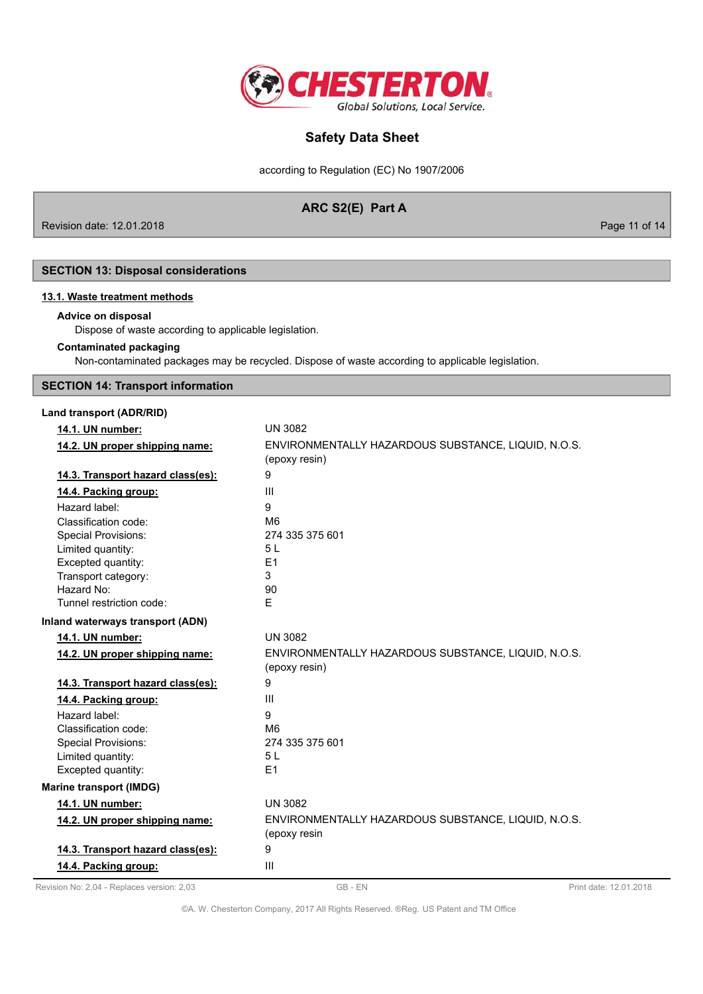

according to Regulation (EC) No 1907/2006

## ARC S2(E) Part A

Revision date: 12.01.2018

Page 11 of 14

## **SECTION 13: Disposal considerations**

## 13.1. Waste treatment methods

### Advice on disposal

Dispose of waste according to applicable legislation.

### **Contaminated packaging**

Non-contaminated packages may be recycled. Dispose of waste according to applicable legislation.

## **SECTION 14: Transport information**

## Land transport (ADR/RID)

| 14.1. UN number:                  | <b>UN 3082</b>                                                       |
|-----------------------------------|----------------------------------------------------------------------|
| 14.2. UN proper shipping name:    | ENVIRONMENTALLY HAZARDOUS SUBSTANCE, LIQUID, N.O.S.                  |
|                                   | (epoxy resin)                                                        |
| 14.3. Transport hazard class(es): | 9                                                                    |
| 14.4. Packing group:              | III                                                                  |
| Hazard label:                     | 9                                                                    |
| Classification code:              | M <sub>6</sub>                                                       |
| <b>Special Provisions:</b>        | 274 335 375 601                                                      |
| Limited quantity:                 | 5L                                                                   |
| Excepted quantity:                | E1                                                                   |
| Transport category:               | 3                                                                    |
| Hazard No:                        | 90                                                                   |
| Tunnel restriction code:          | F                                                                    |
| Inland waterways transport (ADN)  |                                                                      |
| 14.1. UN number:                  | <b>UN 3082</b>                                                       |
| 14.2. UN proper shipping name:    | ENVIRONMENTALLY HAZARDOUS SUBSTANCE, LIQUID, N.O.S.<br>(epoxy resin) |
| 14.3. Transport hazard class(es): | 9                                                                    |
| 14.4. Packing group:              | III                                                                  |
| Hazard label:                     | 9                                                                    |
| Classification code:              | M <sub>6</sub>                                                       |
| <b>Special Provisions:</b>        | 274 335 375 601                                                      |
| Limited quantity:                 | 5L                                                                   |
| Excepted quantity:                | E1                                                                   |
| <b>Marine transport (IMDG)</b>    |                                                                      |
| 14.1. UN number:                  | <b>UN 3082</b>                                                       |
| 14.2. UN proper shipping name:    | ENVIRONMENTALLY HAZARDOUS SUBSTANCE, LIQUID, N.O.S.<br>(epoxy resin  |
|                                   |                                                                      |
| 14.3. Transport hazard class(es): | 9                                                                    |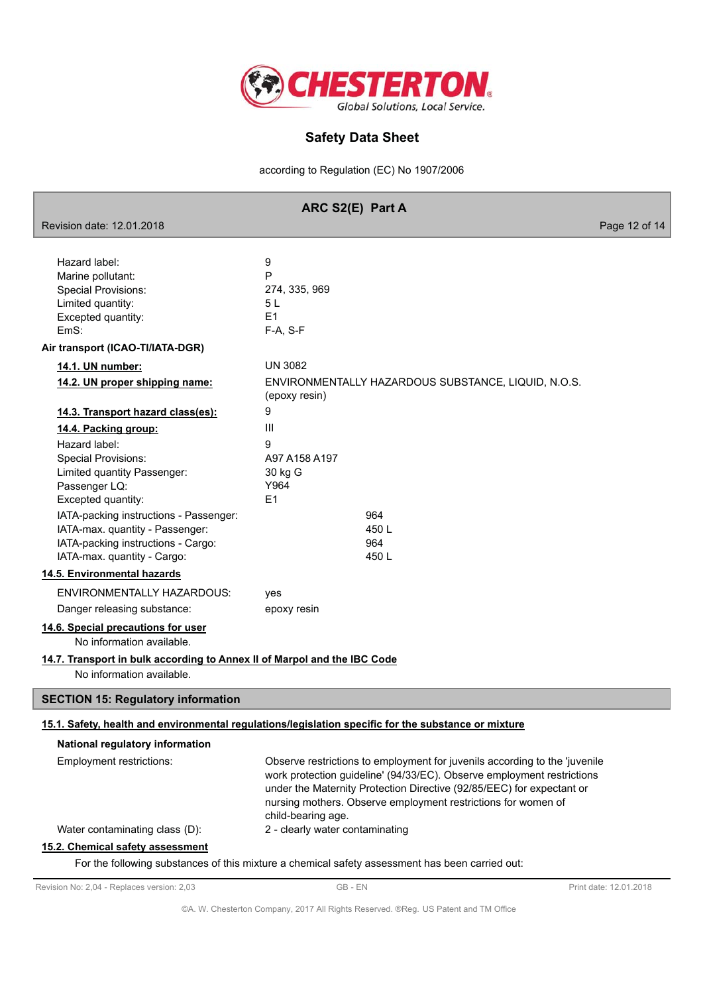

according to Regulation (EC) No 1907/2006

| ARC S2(E) Part A |
|------------------|
|------------------|

Revision date: 12.01.2018 Page 12 of 14 9 Hazard label: P Marine pollutant: **Special Provisions:** 274, 335, 969 Limited quantity:  $5L$ Excepted quantity:  $F<sub>1</sub>$ F-A, S-F EmS: Air transport (ICAO-TI/IATA-DGR) 14.1. UN number: **UN 3082** 14.2. UN proper shipping name: ENVIRONMENTALLY HAZARDOUS SUBSTANCE, LIQUID, N.O.S. (epoxy resin) 9 14.3. Transport hazard class(es):  $\overline{\mathbf{H}}$ 14.4. Packing group: Hazard label:  $\alpha$ Special Provisions: A97 A158 A197 Limited quantity Passenger: 30 kg G Y964 Passenger LQ: Excepted quantity:  $E1$ 964 IATA-packing instructions - Passenger:  $4501$ IATA-max. quantity - Passenger: IATA-packing instructions - Cargo: 964 IATA-max. quantity - Cargo: 450L 14.5. Environmental hazards ENVIRONMENTALLY HAZARDOUS: yes Danger releasing substance: epoxy resin 14.6. Special precautions for user No information available. 14.7. Transport in bulk according to Annex II of Marpol and the IBC Code No information available. **SECTION 15: Regulatory information** 15.1. Safety, health and environmental regulations/legislation specific for the substance or mixture National regulatory information **Employment restrictions:** Observe restrictions to employment for juvenils according to the 'juvenile work protection quideline' (94/33/EC). Observe employment restrictions under the Maternity Protection Directive (92/85/EEC) for expectant or nursing mothers. Observe employment restrictions for women of child-bearing age. Water contaminating class (D): 2 - clearly water contaminating 15.2. Chemical safety assessment

For the following substances of this mixture a chemical safety assessment has been carried out: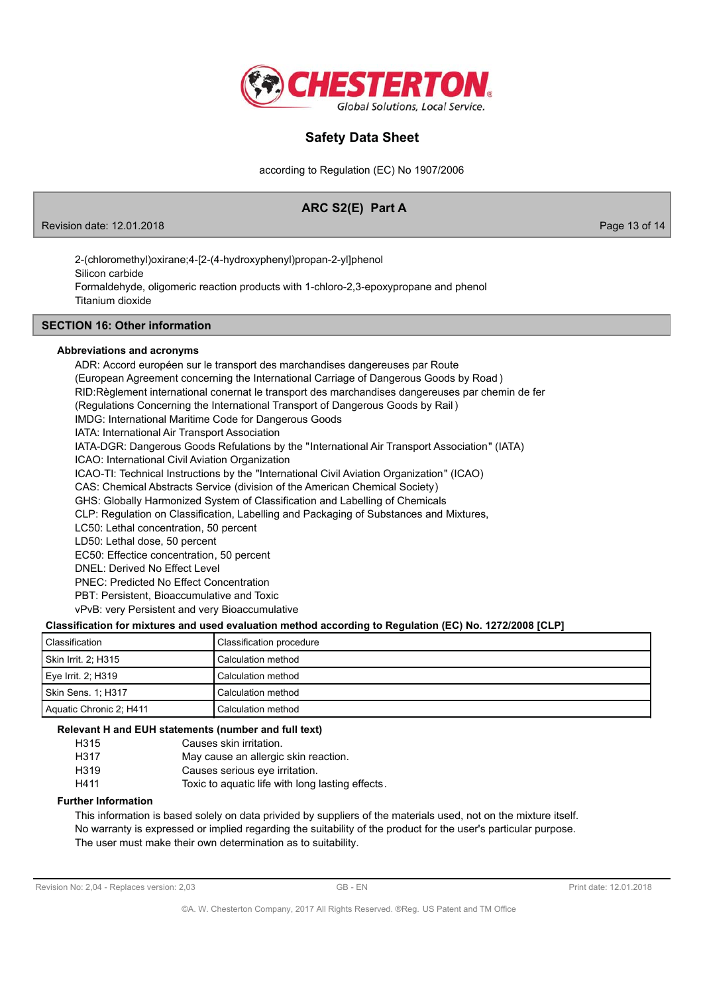

according to Regulation (EC) No 1907/2006

# ARC S2(E) Part A

Revision date: 12.01.2018

Page 13 of 14

2-(chloromethyl)oxirane;4-[2-(4-hydroxyphenyl)propan-2-yl]phenol Silicon carbide Formaldehyde, oligomeric reaction products with 1-chloro-2,3-epoxypropane and phenol Titanium dioxide

## **SECTION 16: Other information**

### Abbreviations and acronyms

ADR: Accord européen sur le transport des marchandises dangereuses par Route (European Agreement concerning the International Carriage of Dangerous Goods by Road) RID:Règlement international conernat le transport des marchandises dangereuses par chemin de fer (Regulations Concerning the International Transport of Dangerous Goods by Rail) IMDG: International Maritime Code for Dangerous Goods IATA: International Air Transport Association IATA-DGR: Dangerous Goods Refulations by the "International Air Transport Association" (IATA) ICAO: International Civil Aviation Organization ICAO-TI: Technical Instructions by the "International Civil Aviation Organization" (ICAO) CAS: Chemical Abstracts Service (division of the American Chemical Society) GHS: Globally Harmonized System of Classification and Labelling of Chemicals CLP: Regulation on Classification. Labelling and Packaging of Substances and Mixtures. LC50: Lethal concentration, 50 percent LD50: Lethal dose, 50 percent EC50: Effectice concentration, 50 percent DNEL: Derived No Effect Level PNEC: Predicted No Effect Concentration

PBT: Persistent. Bioaccumulative and Toxic

vPvB: very Persistent and very Bioaccumulative

## Classification for mixtures and used evaluation method according to Regulation (EC) No. 1272/2008 [CLP]

| l Classification        | Classification procedure    |
|-------------------------|-----------------------------|
| Skin Irrit. 2; H315     | l Calculation method        |
| Eye Irrit. 2; H319      | l Calculation method        |
| Skin Sens. 1; H317      | Calculation method          |
| Aquatic Chronic 2; H411 | <b>I</b> Calculation method |

### Relevant H and EUH statements (number and full text)

| H315 | Causes skin irritation.                         |
|------|-------------------------------------------------|
| H317 | May cause an allergic skin reaction.            |
| H319 | Causes serious eye irritation.                  |
| H411 | Toxic to aquatic life with long lasting effects |
|      |                                                 |

### **Further Information**

This information is based solely on data privided by suppliers of the materials used, not on the mixture itself. No warranty is expressed or implied regarding the suitability of the product for the user's particular purpose. The user must make their own determination as to suitability.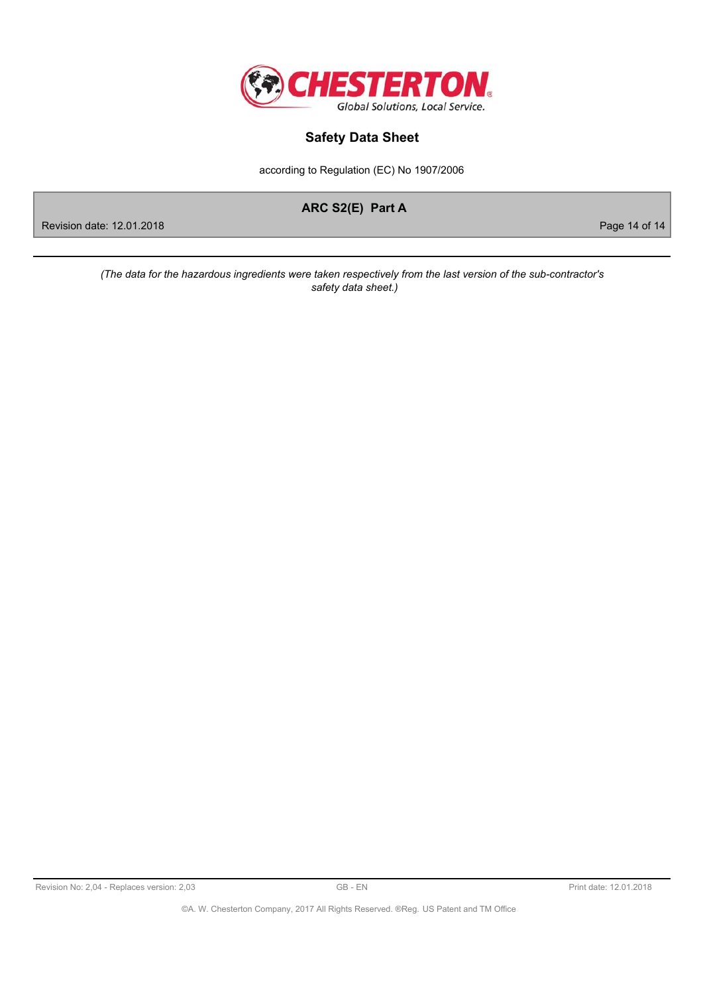

according to Regulation (EC) No 1907/2006

ARC S2(E) Part A

Page 14 of 14

Revision date: 12.01.2018

(The data for the hazardous ingredients were taken respectively from the last version of the sub-contractor's safety data sheet.)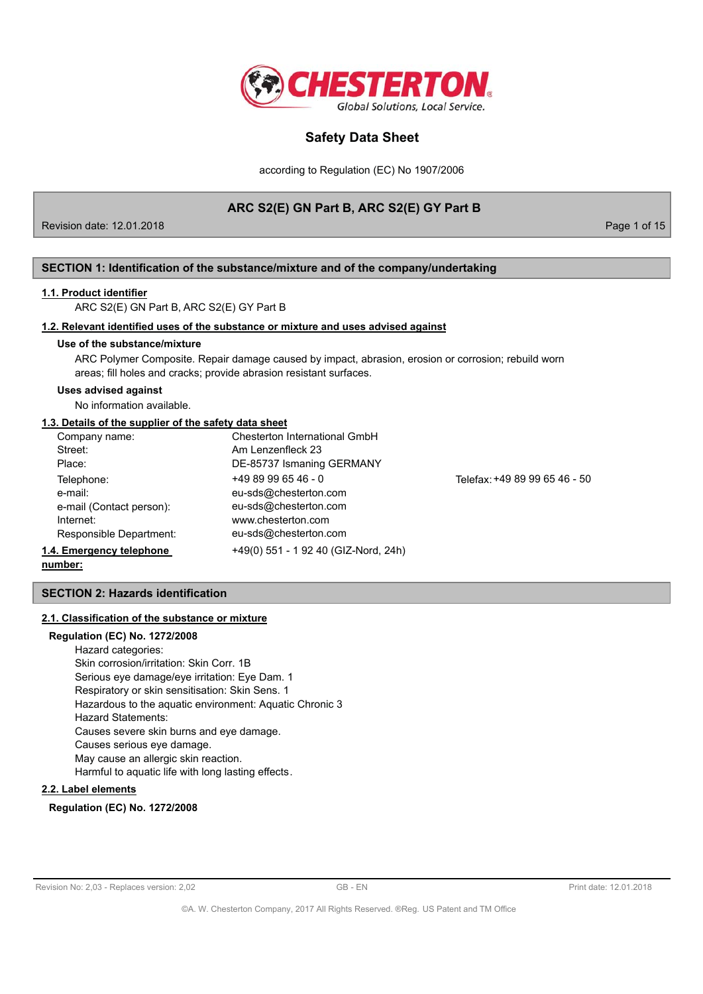

according to Regulation (EC) No 1907/2006

# ARC S2(E) GN Part B, ARC S2(E) GY Part B

Revision date: 12.01.2018

Page 1 of 15

## SECTION 1: Identification of the substance/mixture and of the company/undertaking

### 1.1. Product identifier

ARC S2(E) GN Part B, ARC S2(E) GY Part B

### 1.2. Relevant identified uses of the substance or mixture and uses advised against

### Use of the substance/mixture

ARC Polymer Composite. Repair damage caused by impact, abrasion, erosion or corrosion; rebuild worn areas; fill holes and cracks; provide abrasion resistant surfaces.

#### **Uses advised against**

No information available.

## 1.3. Details of the supplier of the safety data sheet

| Company name:            | Chesterton International GmbH        |                               |
|--------------------------|--------------------------------------|-------------------------------|
| Street:                  | Am Lenzenfleck 23                    |                               |
| Place:                   | DE-85737 Ismaning GERMANY            |                               |
| Telephone:               | $+4989996546 - 0$                    | Telefax: +49 89 99 65 46 - 50 |
| e-mail:                  | eu-sds@chesterton.com                |                               |
| e-mail (Contact person): | eu-sds@chesterton.com                |                               |
| Internet:                | www.chesterton.com                   |                               |
| Responsible Department:  | eu-sds@chesterton.com                |                               |
| 1.4. Emergency telephone | +49(0) 551 - 1 92 40 (GIZ-Nord, 24h) |                               |

number:

## **SECTION 2: Hazards identification**

## 2.1. Classification of the substance or mixture

## **Regulation (EC) No. 1272/2008** Hazard categories: Skin corrosion/irritation: Skin Corr. 1B Serious eye damage/eye irritation: Eye Dam. 1 Respiratory or skin sensitisation: Skin Sens. 1 Hazardous to the aquatic environment: Aquatic Chronic 3 **Hazard Statements:** Causes severe skin burns and eye damage. Causes serious eye damage. May cause an allergic skin reaction.

Harmful to aquatic life with long lasting effects.

## 2.2. Label elements

### **Regulation (EC) No. 1272/2008**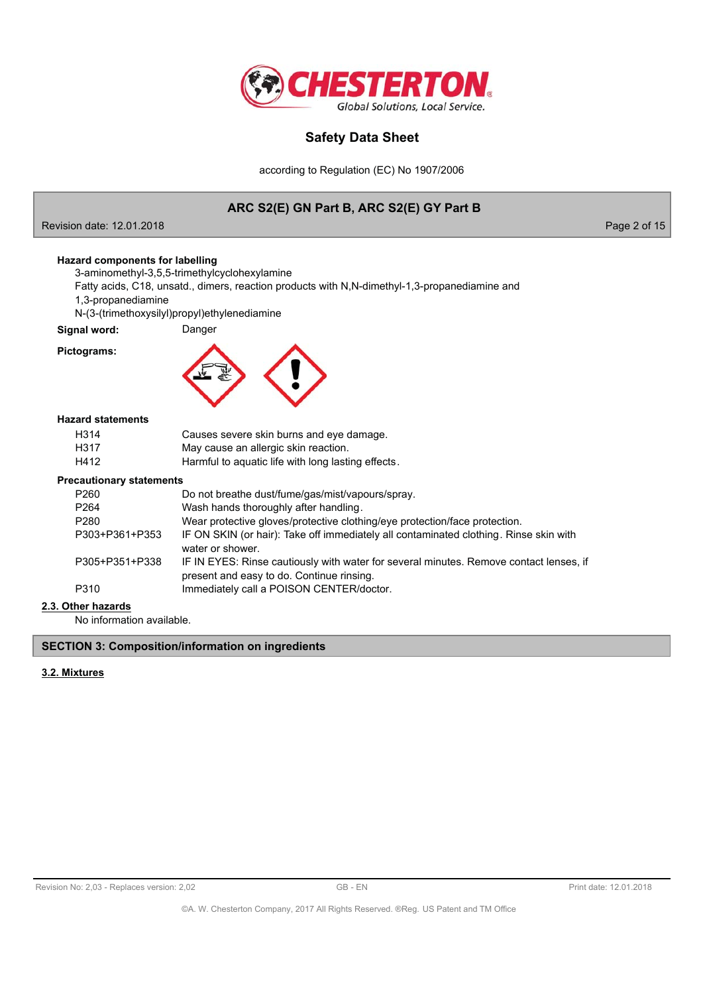

according to Regulation (EC) No 1907/2006

# ARC S2(E) GN Part B, ARC S2(E) GY Part B

Revision date: 12.01.2018

Page 2 of 15

## **Hazard components for labelling**

3-aminomethyl-3,5,5-trimethylcyclohexylamine

Fatty acids, C18, unsatd., dimers, reaction products with N,N-dimethyl-1,3-propanediamine and 1,3-propanediamine

N-(3-(trimethoxysilyl)propyl)ethylenediamine

Danger

Signal word:

## Pictograms:



## **Hazard statements**

| H314 | Causes severe skin burns and eye damage.           |
|------|----------------------------------------------------|
| H317 | May cause an allergic skin reaction.               |
| H412 | Harmful to aquatic life with long lasting effects. |

## **Precautionary statements**

| Cautional y Statements |                                                                                                                                     |
|------------------------|-------------------------------------------------------------------------------------------------------------------------------------|
| P260                   | Do not breathe dust/fume/gas/mist/vapours/spray.                                                                                    |
| P <sub>264</sub>       | Wash hands thoroughly after handling.                                                                                               |
| P <sub>280</sub>       | Wear protective gloves/protective clothing/eye protection/face protection.                                                          |
| P303+P361+P353         | IF ON SKIN (or hair): Take off immediately all contaminated clothing. Rinse skin with<br>water or shower.                           |
| P305+P351+P338         | IF IN EYES: Rinse cautiously with water for several minutes. Remove contact lenses, if<br>present and easy to do. Continue rinsing. |
| P310                   | Immediately call a POISON CENTER/doctor.                                                                                            |
| har hazarde            |                                                                                                                                     |

# 2.3. Other hazards

No information available.

### **SECTION 3: Composition/information on ingredients**

### 3.2. Mixtures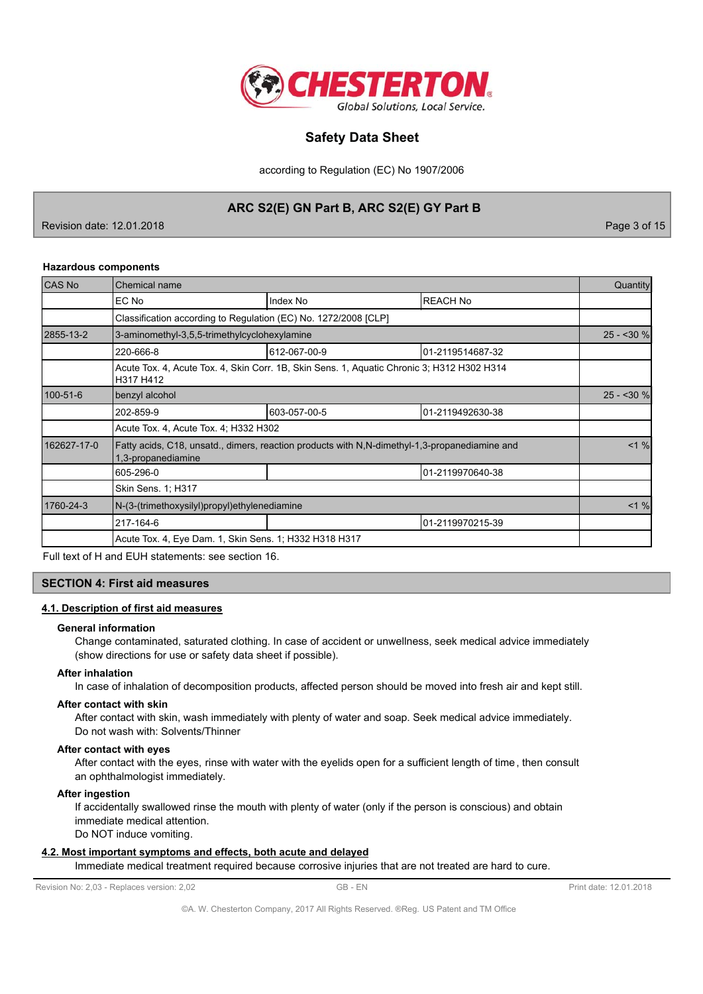

according to Regulation (EC) No 1907/2006

# ARC S2(E) GN Part B, ARC S2(E) GY Part B

Revision date: 12.01.2018

Page 3 of 15

### **Hazardous components**

| <b>CAS No</b> | <b>Chemical name</b>                                                                                                  |              |                  | Quantity   |
|---------------|-----------------------------------------------------------------------------------------------------------------------|--------------|------------------|------------|
|               | EC No                                                                                                                 | Index No     | <b>REACH No</b>  |            |
|               | Classification according to Regulation (EC) No. 1272/2008 [CLP]                                                       |              |                  |            |
| 2855-13-2     | 3-aminomethyl-3,5,5-trimethylcyclohexylamine                                                                          |              |                  | $25 - 30%$ |
|               | 220-666-8                                                                                                             | 612-067-00-9 | 01-2119514687-32 |            |
|               | Acute Tox. 4, Acute Tox. 4, Skin Corr. 1B, Skin Sens. 1, Aquatic Chronic 3; H312 H302 H314<br>H317 H412               |              |                  |            |
| 100-51-6      | benzyl alcohol                                                                                                        |              |                  |            |
|               | 202-859-9                                                                                                             | 603-057-00-5 | 01-2119492630-38 |            |
|               | Acute Tox. 4, Acute Tox. 4; H332 H302                                                                                 |              |                  |            |
| 162627-17-0   | Fatty acids, C18, unsatd., dimers, reaction products with N, N-dimethyl-1, 3-propanediamine and<br>1,3-propanediamine |              |                  | $< 1 \%$   |
|               | 605-296-0                                                                                                             |              | 01-2119970640-38 |            |
|               | Skin Sens. 1; H317                                                                                                    |              |                  |            |
| 1760-24-3     | N-(3-(trimethoxysilyl)propyl)ethylenediamine                                                                          |              |                  | $< 1 \%$   |
|               | 217-164-6                                                                                                             |              | 01-2119970215-39 |            |
|               | Acute Tox. 4, Eye Dam. 1, Skin Sens. 1; H332 H318 H317                                                                |              |                  |            |

Full text of H and EUH statements: see section 16.

### **SECTION 4: First aid measures**

## 4.1. Description of first aid measures

#### **General information**

Change contaminated, saturated clothing. In case of accident or unwellness, seek medical advice immediately (show directions for use or safety data sheet if possible).

### **After inhalation**

In case of inhalation of decomposition products, affected person should be moved into fresh air and kept still.

#### After contact with skin

After contact with skin, wash immediately with plenty of water and soap. Seek medical advice immediately. Do not wash with: Solvents/Thinner

#### After contact with eyes

After contact with the eyes, rinse with water with the eyelids open for a sufficient length of time, then consult an ophthalmologist immediately.

### **After ingestion**

If accidentally swallowed rinse the mouth with plenty of water (only if the person is conscious) and obtain immediate medical attention.

Do NOT induce vomiting.

## 4.2. Most important symptoms and effects, both acute and delayed

Immediate medical treatment required because corrosive injuries that are not treated are hard to cure.

Revision No: 2,03 - Replaces version: 2,02

GB-EN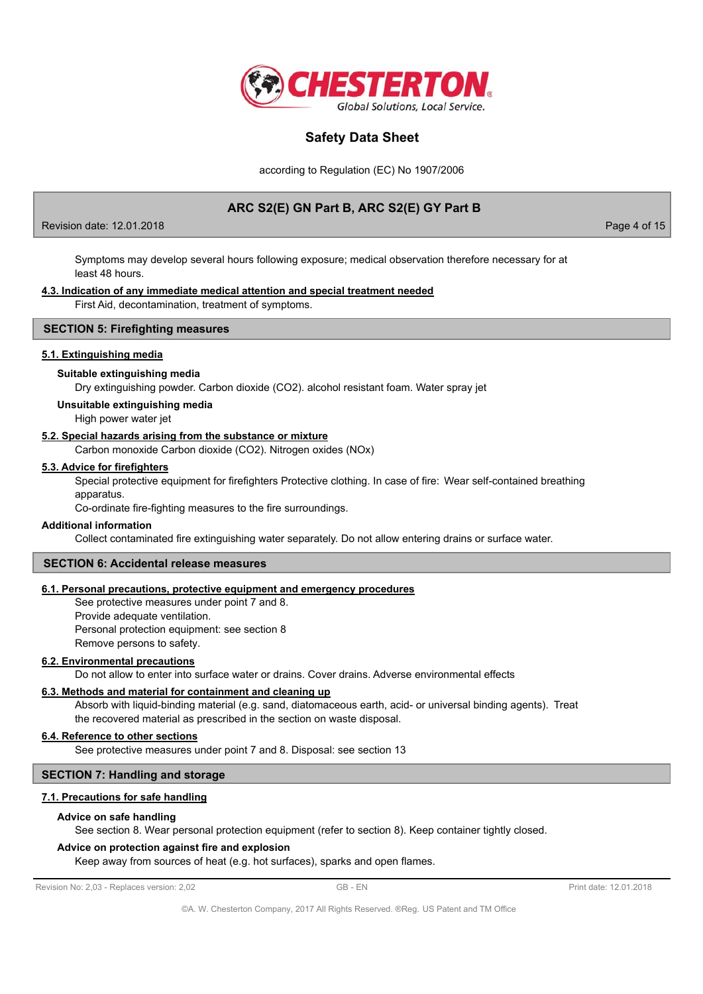

according to Regulation (EC) No 1907/2006

# ARC S2(E) GN Part B, ARC S2(E) GY Part B

Revision date: 12.01.2018

Page 4 of 15

Symptoms may develop several hours following exposure; medical observation therefore necessary for at least 48 hours.

### 4.3. Indication of any immediate medical attention and special treatment needed

First Aid, decontamination, treatment of symptoms.

## **SECTION 5: Firefighting measures**

### 5.1. Extinguishing media

#### Suitable extinguishing media

Dry extinguishing powder. Carbon dioxide (CO2). alcohol resistant foam. Water spray jet

### Unsuitable extinguishing media

High power water jet

### 5.2. Special hazards arising from the substance or mixture

Carbon monoxide Carbon dioxide (CO2). Nitrogen oxides (NOx)

### 5.3. Advice for firefighters

Special protective equipment for firefighters Protective clothing. In case of fire: Wear self-contained breathing apparatus.

Co-ordinate fire-fighting measures to the fire surroundings.

### **Additional information**

Collect contaminated fire extinguishing water separately. Do not allow entering drains or surface water.

### **SECTION 6: Accidental release measures**

### 6.1. Personal precautions, protective equipment and emergency procedures

See protective measures under point 7 and 8. Provide adequate ventilation. Personal protection equipment: see section 8 Remove persons to safety.

### 6.2. Environmental precautions

Do not allow to enter into surface water or drains. Cover drains. Adverse environmental effects

### 6.3. Methods and material for containment and cleaning up

Absorb with liquid-binding material (e.g. sand, diatomaceous earth, acid- or universal binding agents). Treat the recovered material as prescribed in the section on waste disposal.

### 6.4. Reference to other sections

See protective measures under point 7 and 8. Disposal: see section 13

## **SECTION 7: Handling and storage**

### 7.1. Precautions for safe handling

#### Advice on safe handling

See section 8. Wear personal protection equipment (refer to section 8). Keep container tightly closed.

### Advice on protection against fire and explosion

Keep away from sources of heat (e.g. hot surfaces), sparks and open flames.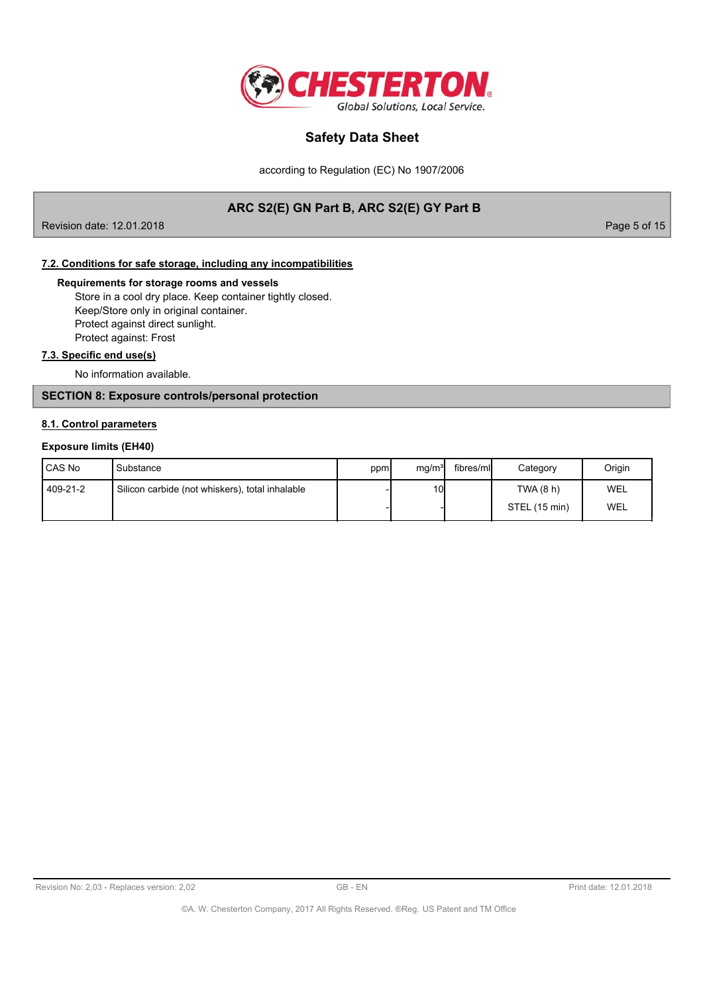

according to Regulation (EC) No 1907/2006

# ARC S2(E) GN Part B, ARC S2(E) GY Part B

Revision date: 12.01.2018

Page 5 of 15

## 7.2. Conditions for safe storage, including any incompatibilities

### Requirements for storage rooms and vessels

Store in a cool dry place. Keep container tightly closed. Keep/Store only in original container. Protect against direct sunlight. Protect against: Frost

## 7.3. Specific end use(s)

No information available.

## **SECTION 8: Exposure controls/personal protection**

### 8.1. Control parameters

### **Exposure limits (EH40)**

| <b>ICAS No</b> | 'Substance                                      | ppm | mq/m <sup>3</sup> | fibres/mll | Category      | Origin |
|----------------|-------------------------------------------------|-----|-------------------|------------|---------------|--------|
| 409-21-2       | Silicon carbide (not whiskers), total inhalable |     | 10                |            | TWA (8 h)     | WEL    |
|                |                                                 |     |                   |            | STEL (15 min) | WEL    |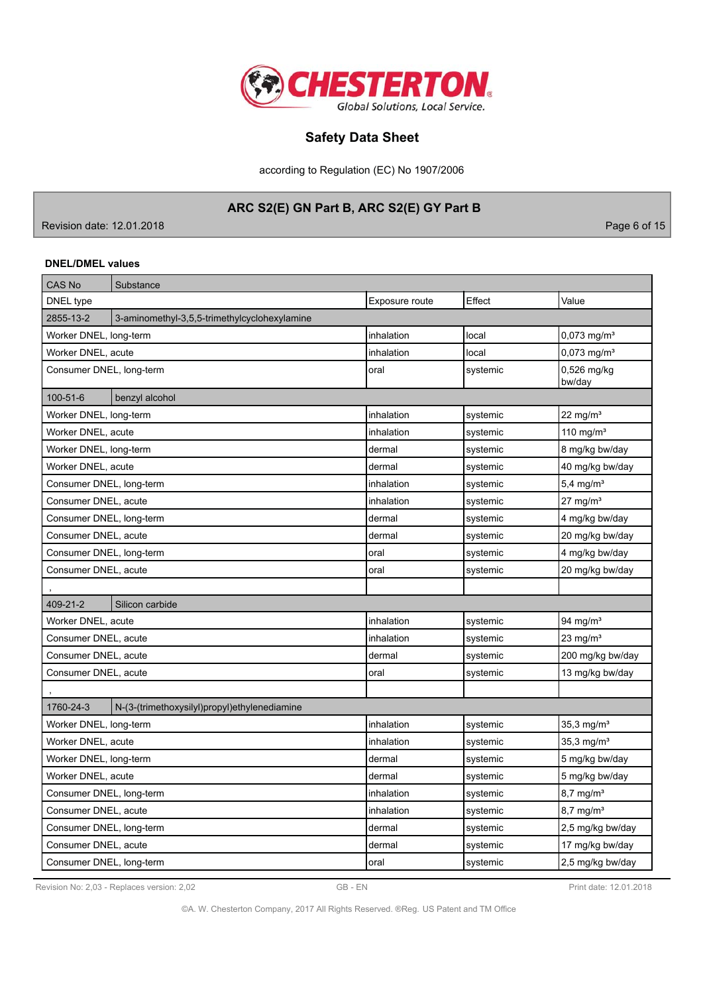

according to Regulation (EC) No 1907/2006

# ARC S2(E) GN Part B, ARC S2(E) GY Part B

Revision date: 12.01.2018

Page 6 of 15

### **DNEL/DMEL values**

| <b>CAS No</b>            | Substance                                    |                |          |                           |
|--------------------------|----------------------------------------------|----------------|----------|---------------------------|
| DNEL type                |                                              | Exposure route | Effect   | Value                     |
| 2855-13-2                | 3-aminomethyl-3,5,5-trimethylcyclohexylamine |                |          |                           |
| Worker DNEL, long-term   |                                              | inhalation     | local    | $0,073$ mg/m <sup>3</sup> |
| Worker DNEL, acute       |                                              | inhalation     | local    | 0,073 mg/m <sup>3</sup>   |
| Consumer DNEL, long-term |                                              | oral           | systemic | 0,526 mg/kg<br>bw/day     |
| 100-51-6                 | benzyl alcohol                               |                |          |                           |
| Worker DNEL, long-term   |                                              | inhalation     | systemic | 22 mg/ $m3$               |
| Worker DNEL, acute       |                                              | inhalation     | systemic | 110 mg/ $m3$              |
| Worker DNEL, long-term   |                                              | dermal         | systemic | 8 mg/kg bw/day            |
| Worker DNEL, acute       |                                              | dermal         | systemic | 40 mg/kg bw/day           |
| Consumer DNEL, long-term |                                              | inhalation     | systemic | $5,4$ mg/m <sup>3</sup>   |
| Consumer DNEL, acute     |                                              | inhalation     | systemic | $27 \text{ mg/m}^3$       |
| Consumer DNEL, long-term |                                              | dermal         | systemic | 4 mg/kg bw/day            |
| Consumer DNEL, acute     |                                              | dermal         | systemic | 20 mg/kg bw/day           |
| Consumer DNEL, long-term |                                              | oral           | systemic | 4 mg/kg bw/day            |
| Consumer DNEL, acute     |                                              | oral           | systemic | 20 mg/kg bw/day           |
|                          |                                              |                |          |                           |
| 409-21-2                 | Silicon carbide                              |                |          |                           |
| Worker DNEL, acute       |                                              | inhalation     | systemic | 94 mg/m <sup>3</sup>      |
| Consumer DNEL, acute     |                                              | inhalation     | systemic | 23 mg/m $3$               |
| Consumer DNEL, acute     |                                              | dermal         | systemic | 200 mg/kg bw/day          |
| Consumer DNEL, acute     |                                              | oral           | systemic | 13 mg/kg bw/day           |
|                          |                                              |                |          |                           |
| 1760-24-3                | N-(3-(trimethoxysilyl)propyl)ethylenediamine |                |          |                           |
| Worker DNEL, long-term   |                                              | inhalation     | systemic | $35,3$ mg/m $3$           |
| Worker DNEL, acute       |                                              | inhalation     | systemic | 35,3 mg/m <sup>3</sup>    |
| Worker DNEL, long-term   |                                              | dermal         | systemic | 5 mg/kg bw/day            |
| Worker DNEL, acute       |                                              | dermal         | systemic | 5 mg/kg bw/day            |
| Consumer DNEL, long-term |                                              | inhalation     | systemic | $8,7$ mg/m <sup>3</sup>   |
| Consumer DNEL, acute     |                                              | inhalation     | systemic | $8,7$ mg/m <sup>3</sup>   |
| Consumer DNEL, long-term |                                              | dermal         | systemic | 2,5 mg/kg bw/day          |
| Consumer DNEL, acute     |                                              | dermal         | systemic | 17 mg/kg bw/day           |
| Consumer DNEL, long-term |                                              | oral           | systemic | 2,5 mg/kg bw/day          |

Revision No: 2,03 - Replaces version: 2,02

Print date: 12.01.2018

©A. W. Chesterton Company, 2017 All Rights Reserved. ®Reg. US Patent and TM Office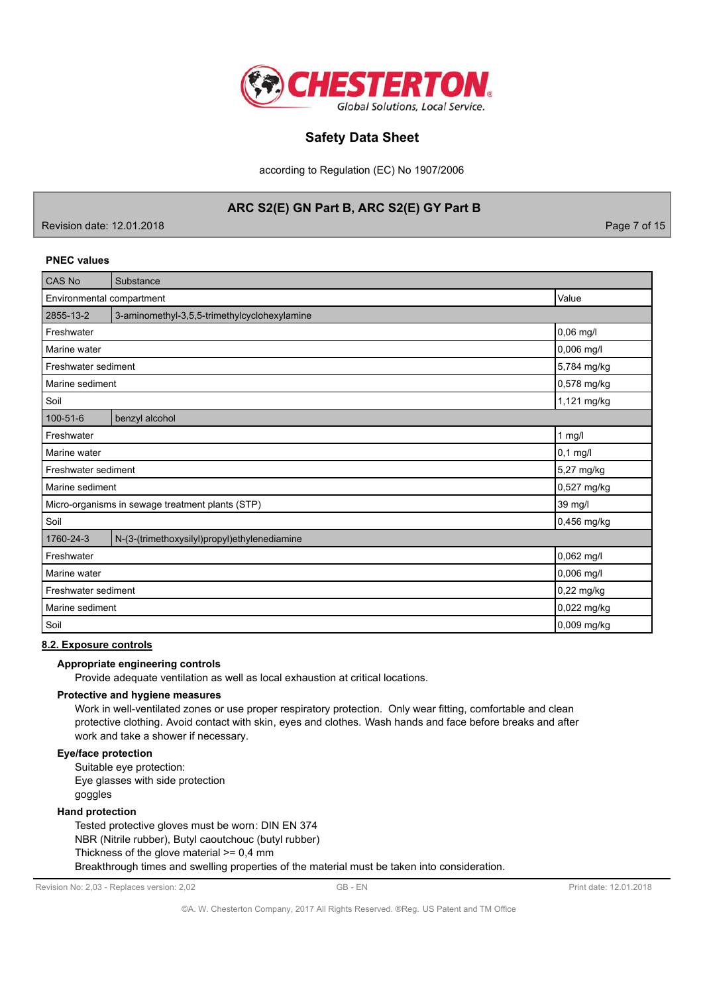

according to Regulation (EC) No 1907/2006

## ARC S2(E) GN Part B, ARC S2(E) GY Part B

Revision date: 12.01.2018

Page 7 of 15

### **PNEC values**

| <b>CAS No</b>                                    | Substance                                    |             |
|--------------------------------------------------|----------------------------------------------|-------------|
| Environmental compartment<br>Value               |                                              |             |
| 2855-13-2                                        | 3-aminomethyl-3,5,5-trimethylcyclohexylamine |             |
| Freshwater                                       |                                              | 0,06 mg/l   |
| Marine water                                     |                                              | 0,006 mg/l  |
| Freshwater sediment                              |                                              | 5,784 mg/kg |
| Marine sediment                                  |                                              | 0,578 mg/kg |
| Soil                                             |                                              | 1,121 mg/kg |
| 100-51-6                                         | benzyl alcohol                               |             |
| $1$ mg/l<br>Freshwater                           |                                              |             |
| $0,1$ mg/l<br>Marine water                       |                                              |             |
| Freshwater sediment<br>5,27 mg/kg                |                                              |             |
| Marine sediment                                  |                                              | 0,527 mg/kg |
| Micro-organisms in sewage treatment plants (STP) |                                              | 39 mg/l     |
| Soil                                             |                                              | 0,456 mg/kg |
| 1760-24-3                                        | N-(3-(trimethoxysilyl)propyl)ethylenediamine |             |
| Freshwater                                       |                                              | 0,062 mg/l  |
| Marine water                                     |                                              | 0,006 mg/l  |
| Freshwater sediment                              |                                              | 0,22 mg/kg  |
| Marine sediment                                  |                                              | 0,022 mg/kg |
| Soil                                             | 0,009 mg/kg                                  |             |

### 8.2. Exposure controls

## Appropriate engineering controls

Provide adequate ventilation as well as local exhaustion at critical locations.

## Protective and hygiene measures

Work in well-ventilated zones or use proper respiratory protection. Only wear fitting, comfortable and clean protective clothing. Avoid contact with skin, eyes and clothes. Wash hands and face before breaks and after work and take a shower if necessary.

### Eye/face protection

Suitable eye protection: Eye glasses with side protection goggles

### **Hand protection**

Tested protective gloves must be worn: DIN EN 374 NBR (Nitrile rubber), Butyl caoutchouc (butyl rubber) Thickness of the glove material  $>= 0,4$  mm Breakthrough times and swelling properties of the material must be taken into consideration.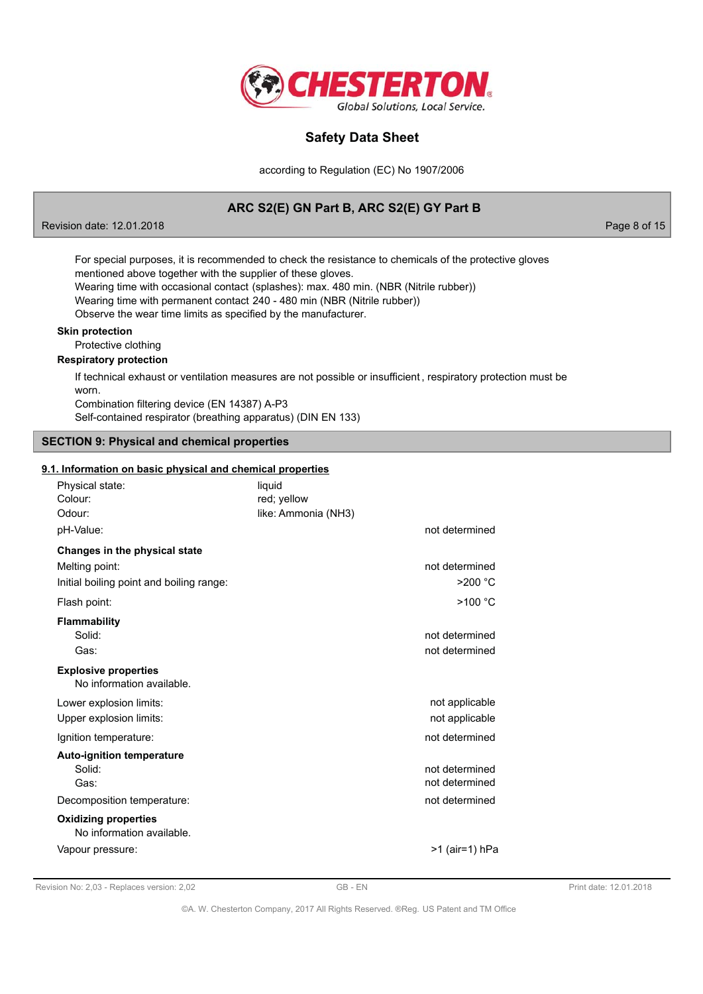

according to Regulation (EC) No 1907/2006

# ARC S2(E) GN Part B, ARC S2(E) GY Part B

Revision date: 12.01.2018

Page 8 of 15

For special purposes, it is recommended to check the resistance to chemicals of the protective gloves mentioned above together with the supplier of these gloves.

Wearing time with occasional contact (splashes): max. 480 min. (NBR (Nitrile rubber))

Wearing time with permanent contact 240 - 480 min (NBR (Nitrile rubber))

Observe the wear time limits as specified by the manufacturer.

### **Skin protection**

Protective clothing

### **Respiratory protection**

If technical exhaust or ventilation measures are not possible or insufficient, respiratory protection must be worn. Combination filtering device (EN 14387) A-P3

Self-contained respirator (breathing apparatus) (DIN EN 133)

### **SECTION 9: Physical and chemical properties**

## 9.1. Information on basic physical and chemical properties

| Physical state:<br>Colour:<br>Odour:                     | liquid<br>red; yellow<br>like: Ammonia (NH3) |                                  |
|----------------------------------------------------------|----------------------------------------------|----------------------------------|
| pH-Value:                                                |                                              | not determined                   |
| Changes in the physical state                            |                                              |                                  |
| Melting point:                                           |                                              | not determined                   |
| Initial boiling point and boiling range:                 |                                              | $>200$ °C                        |
| Flash point:                                             |                                              | >100 °C                          |
| <b>Flammability</b>                                      |                                              |                                  |
| Solid:                                                   |                                              | not determined                   |
| Gas:                                                     |                                              | not determined                   |
| <b>Explosive properties</b><br>No information available. |                                              |                                  |
| Lower explosion limits:                                  |                                              | not applicable                   |
| Upper explosion limits:                                  |                                              | not applicable                   |
| Ignition temperature:                                    |                                              | not determined                   |
| <b>Auto-ignition temperature</b><br>Solid:<br>Gas:       |                                              | not determined<br>not determined |
| Decomposition temperature:                               |                                              | not determined                   |
| <b>Oxidizing properties</b><br>No information available. |                                              |                                  |
| Vapour pressure:                                         |                                              | >1 (air=1) hPa                   |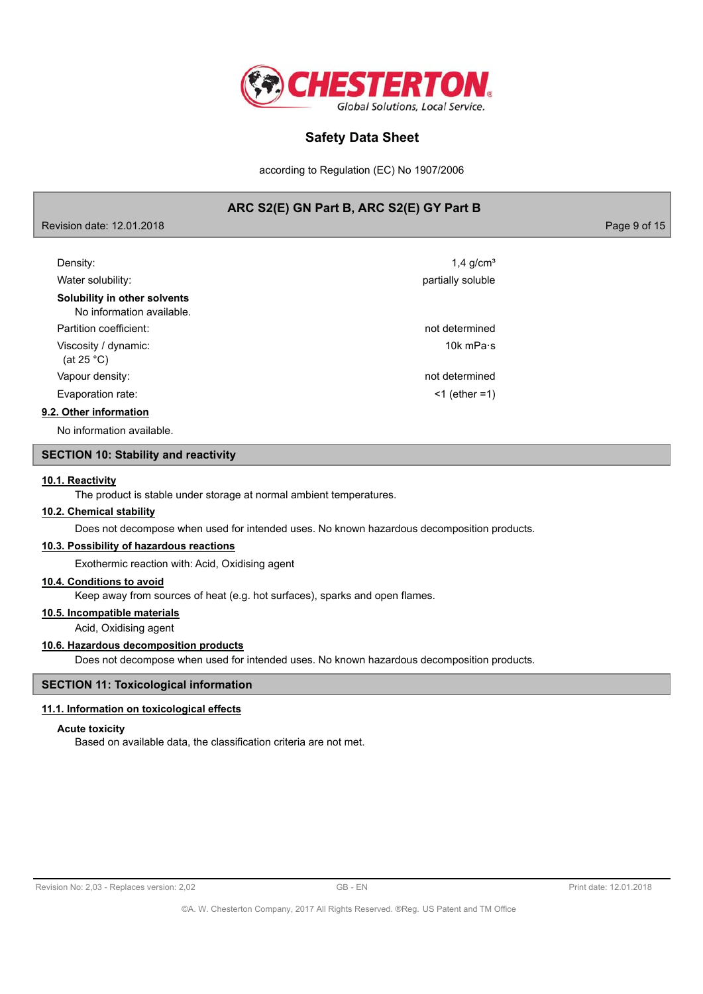

according to Regulation (EC) No 1907/2006

## ARC S2(E) GN Part B, ARC S2(E) GY Part B

| Revision date: 12.01.2018 |  |  |
|---------------------------|--|--|
|                           |  |  |

Page 9 of 15

| Density:                                                  | $1.4$ g/cm <sup>3</sup> |
|-----------------------------------------------------------|-------------------------|
| Water solubility:                                         | partially soluble       |
| Solubility in other solvents<br>No information available. |                         |
| Partition coefficient:                                    | not determined          |
| Viscosity / dynamic:<br>(at 25 $^{\circ}$ C)              | 10 $k$ mPa $\cdot$ s    |
| Vapour density:                                           | not determined          |
| Evaporation rate:                                         | $<$ 1 (ether =1)        |
| 9.2. Other information                                    |                         |
|                                                           |                         |

No information available.

## **SECTION 10: Stability and reactivity**

### 10.1. Reactivity

The product is stable under storage at normal ambient temperatures.

## 10.2. Chemical stability

Does not decompose when used for intended uses. No known hazardous decomposition products.

### 10.3. Possibility of hazardous reactions

Exothermic reaction with: Acid, Oxidising agent

### 10.4. Conditions to avoid

Keep away from sources of heat (e.g. hot surfaces), sparks and open flames.

## 10.5. Incompatible materials

Acid, Oxidising agent

### 10.6. Hazardous decomposition products

Does not decompose when used for intended uses. No known hazardous decomposition products.

## **SECTION 11: Toxicological information**

### 11.1. Information on toxicological effects

### **Acute toxicity**

Based on available data, the classification criteria are not met.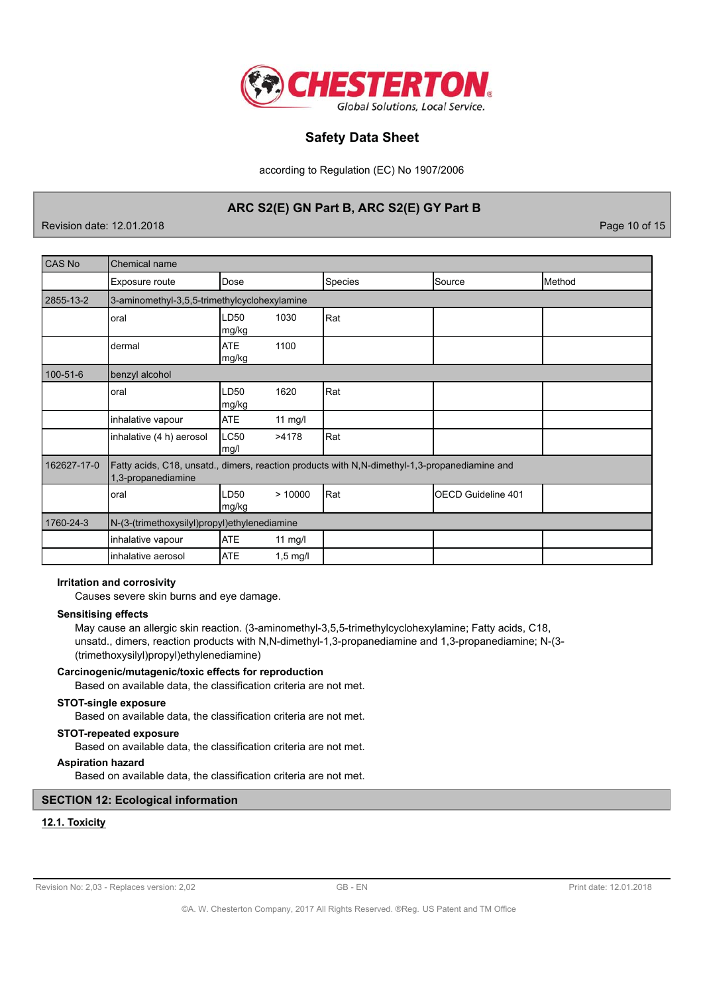

according to Regulation (EC) No 1907/2006

## ARC S2(E) GN Part B, ARC S2(E) GY Part B

Revision date: 12.01.2018

Page 10 of 15

| CAS No         | <b>Chemical name</b>                                                                                                |                     |            |                |                    |        |
|----------------|---------------------------------------------------------------------------------------------------------------------|---------------------|------------|----------------|--------------------|--------|
|                | Exposure route                                                                                                      | Dose                |            | <b>Species</b> | Source             | Method |
| 2855-13-2      | 3-aminomethyl-3,5,5-trimethylcyclohexylamine                                                                        |                     |            |                |                    |        |
|                | oral                                                                                                                | LD50<br>mg/kg       | 1030       | Rat            |                    |        |
|                | dermal                                                                                                              | <b>ATE</b><br>mg/kg | 1100       |                |                    |        |
| $100 - 51 - 6$ | benzyl alcohol                                                                                                      |                     |            |                |                    |        |
|                | oral                                                                                                                | LD50<br>mg/kg       | 1620       | Rat            |                    |        |
|                | inhalative vapour                                                                                                   | <b>ATE</b>          | $11$ mg/l  |                |                    |        |
|                | inhalative (4 h) aerosol                                                                                            | <b>LC50</b><br>mg/l | >4178      | Rat            |                    |        |
| 162627-17-0    | Fatty acids, C18, unsatd., dimers, reaction products with N,N-dimethyl-1,3-propanediamine and<br>1,3-propanediamine |                     |            |                |                    |        |
|                | oral                                                                                                                | LD50<br>mg/kg       | >10000     | Rat            | OECD Guideline 401 |        |
| 1760-24-3      | N-(3-(trimethoxysilyl)propyl)ethylenediamine                                                                        |                     |            |                |                    |        |
|                | inhalative vapour                                                                                                   | <b>ATE</b>          | 11 $mg/l$  |                |                    |        |
|                | inhalative aerosol                                                                                                  | <b>ATE</b>          | $1,5$ mg/l |                |                    |        |

### **Irritation and corrosivity**

Causes severe skin burns and eye damage.

#### **Sensitising effects**

May cause an allergic skin reaction. (3-aminomethyl-3,5,5-trimethylcyclohexylamine; Fatty acids, C18, unsatd., dimers, reaction products with N,N-dimethyl-1,3-propanediamine and 1,3-propanediamine; N-(3-(trimethoxysilyl)propyl)ethylenediamine)

### Carcinogenic/mutagenic/toxic effects for reproduction

Based on available data, the classification criteria are not met.

### **STOT-single exposure**

Based on available data, the classification criteria are not met.

## **STOT-repeated exposure**

Based on available data, the classification criteria are not met.

### **Aspiration hazard**

Based on available data, the classification criteria are not met.

## **SECTION 12: Ecological information**

## 12.1. Toxicity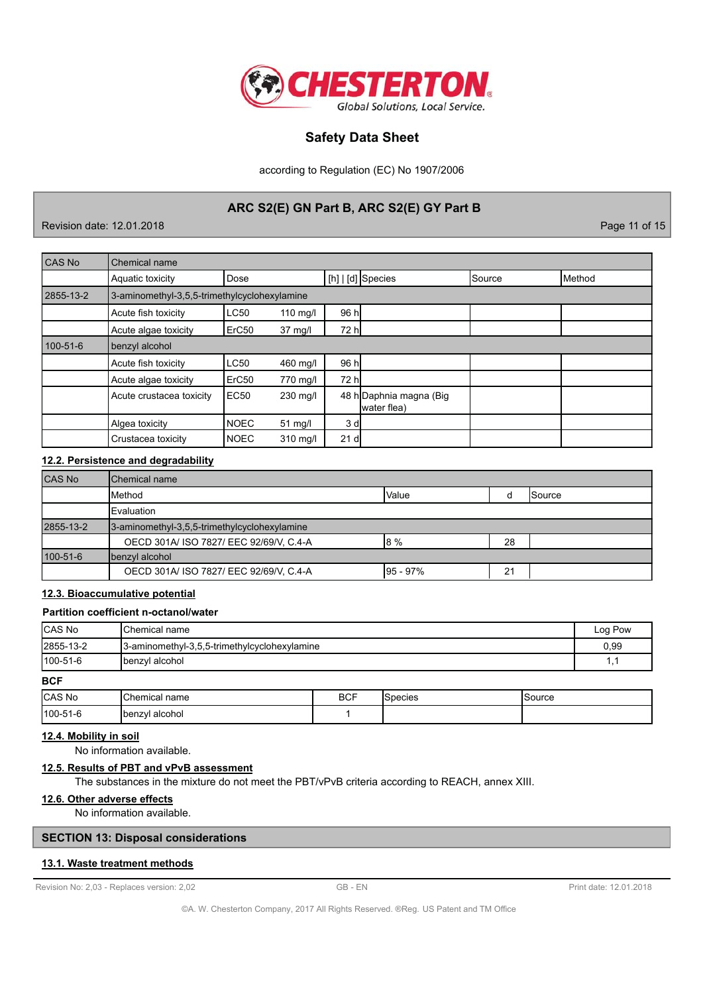

according to Regulation (EC) No 1907/2006

## ARC S2(E) GN Part B, ARC S2(E) GY Part B

Revision date: 12.01.2018

Page 11 of 15

| CAS No    | Chemical name                                |             |            |                |                                        |        |                 |
|-----------|----------------------------------------------|-------------|------------|----------------|----------------------------------------|--------|-----------------|
|           | Aquatic toxicity                             | Dose        |            |                | $[h]   [d]$ Species                    | Source | <b>I</b> Method |
| 2855-13-2 | 3-aminomethyl-3,5,5-trimethylcyclohexylamine |             |            |                |                                        |        |                 |
|           | Acute fish toxicity                          | LC50        | $110$ mg/l | 96 h           |                                        |        |                 |
|           | Acute algae toxicity                         | ErC50       | 37 mg/l    | 72 h           |                                        |        |                 |
| 100-51-6  | benzyl alcohol                               |             |            |                |                                        |        |                 |
|           | Acute fish toxicity                          | LC50        | 460 mg/l   | 96 h           |                                        |        |                 |
|           | Acute algae toxicity                         | ErC50       | 770 mg/l   | 72 h           |                                        |        |                 |
|           | Acute crustacea toxicity                     | <b>EC50</b> | 230 mg/l   |                | 48 h Daphnia magna (Big<br>water flea) |        |                 |
|           | Algea toxicity                               | <b>NOEC</b> | 51 mg/l    | 3 <sub>d</sub> |                                        |        |                 |
|           | Crustacea toxicity                           | <b>NOEC</b> | 310 mg/l   | 21 d           |                                        |        |                 |

### 12.2. Persistence and degradability

| <b>CAS No</b> | <b>IChemical name</b>                        |                |    |                |
|---------------|----------------------------------------------|----------------|----|----------------|
|               | <b>I</b> Method                              | <b>I</b> Value |    | <b>ISource</b> |
|               | <b>IEvaluation</b>                           |                |    |                |
| 2855-13-2     | 3-aminomethyl-3,5,5-trimethylcyclohexylamine |                |    |                |
|               | OECD 301A/ ISO 7827/ EEC 92/69/V, C.4-A      | 18%            | 28 |                |
| 100-51-6      | benzyl alcohol                               |                |    |                |
|               | OECD 301A/ ISO 7827/ EEC 92/69/V, C.4-A      | $195 - 97%$    | 21 |                |

## 12.3. Bioaccumulative potential

## Partition coefficient n-octanol/water

| <b>CAS No</b><br><b>IChemical name</b>                    |                | Log Pow |     |  |
|-----------------------------------------------------------|----------------|---------|-----|--|
| 2855-13-2<br>3-aminomethyl-3,5,5-trimethylcyclohexylamine |                | 0,99    |     |  |
| $100 - 51 - 6$                                            | benzyl alcohol |         | ۱.۱ |  |
| <b>BCF</b>                                                |                |         |     |  |

| <b>CAS</b><br>. No | ، ص<br>hemical name  | <b>BCF</b><br>$\sim$ | pecies | iource |
|--------------------|----------------------|----------------------|--------|--------|
| 100-51-6           | enzvl alcohol<br>Ibe |                      |        |        |

## 12.4. Mobility in soil

No information available.

## 12.5. Results of PBT and vPvB assessment

The substances in the mixture do not meet the PBT/vPvB criteria according to REACH, annex XIII.

## 12.6. Other adverse effects

No information available.

## **SECTION 13: Disposal considerations**

### 13.1. Waste treatment methods

Revision No: 2,03 - Replaces version: 2,02

GB-EN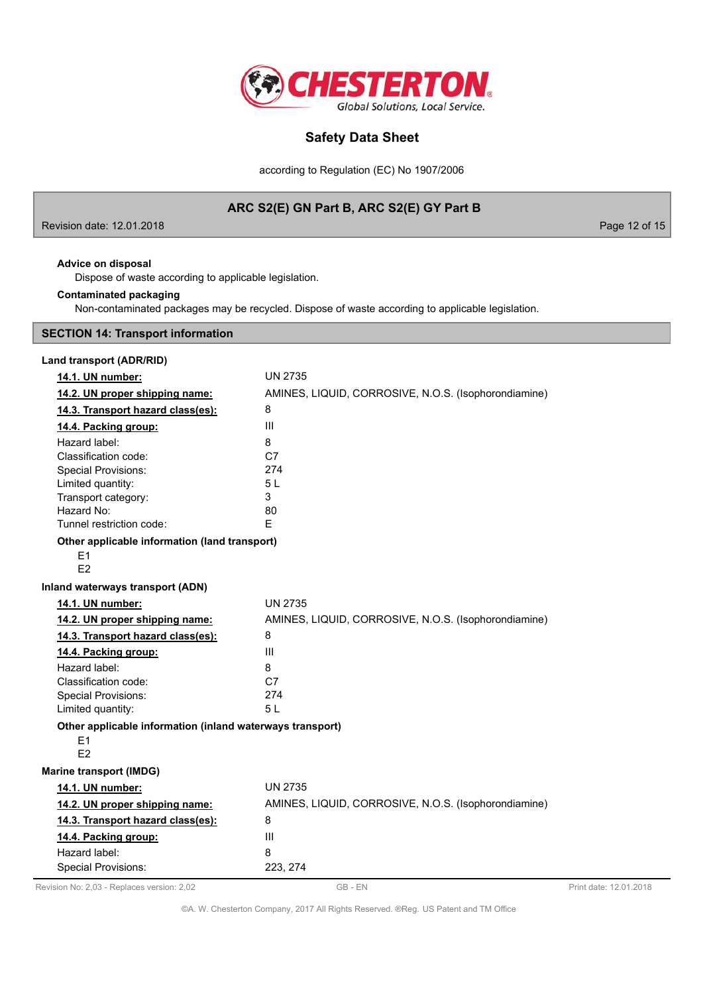

according to Regulation (EC) No 1907/2006

# ARC S2(E) GN Part B, ARC S2(E) GY Part B

Revision date: 12.01.2018

Page 12 of 15

## Advice on disposal

Dispose of waste according to applicable legislation.

## **Contaminated packaging**

Non-contaminated packages may be recycled. Dispose of waste according to applicable legislation.

## **SECTION 14: Transport information**

| Land transport (ADR/RID)                                              |                                                      |
|-----------------------------------------------------------------------|------------------------------------------------------|
| 14.1. UN number:                                                      | <b>UN 2735</b>                                       |
| 14.2. UN proper shipping name:                                        | AMINES, LIQUID, CORROSIVE, N.O.S. (Isophorondiamine) |
| 14.3. Transport hazard class(es):                                     | 8                                                    |
| 14.4. Packing group:                                                  | III                                                  |
| Hazard label:                                                         | 8                                                    |
| Classification code:                                                  | C7                                                   |
| <b>Special Provisions:</b>                                            | 274                                                  |
| Limited quantity:                                                     | 5L                                                   |
| Transport category:                                                   | 3                                                    |
| Hazard No:                                                            | 80                                                   |
| Tunnel restriction code:                                              | F.                                                   |
| Other applicable information (land transport)                         |                                                      |
| E1                                                                    |                                                      |
| F <sub>2</sub>                                                        |                                                      |
| Inland waterways transport (ADN)                                      |                                                      |
| 14.1. UN number:                                                      | <b>UN 2735</b>                                       |
| 14.2. UN proper shipping name:                                        | AMINES, LIQUID, CORROSIVE, N.O.S. (Isophorondiamine) |
| 14.3. Transport hazard class(es):                                     | 8                                                    |
| 14.4. Packing group:                                                  | III                                                  |
| Hazard label:                                                         | 8                                                    |
| Classification code:                                                  | C <sub>7</sub>                                       |
| <b>Special Provisions:</b>                                            | 274                                                  |
| Limited quantity:                                                     | 5 L                                                  |
| Other applicable information (inland waterways transport)<br>E1<br>E2 |                                                      |
| <b>Marine transport (IMDG)</b>                                        |                                                      |
| 14.1. UN number:                                                      | <b>UN 2735</b>                                       |
| 14.2. UN proper shipping name:                                        | AMINES, LIQUID, CORROSIVE, N.O.S. (Isophorondiamine) |
| 14.3. Transport hazard class(es):                                     | 8                                                    |
| 14.4. Packing group:                                                  | III                                                  |
| Hazard label:                                                         | 8                                                    |
| <b>Special Provisions:</b>                                            | 223, 274                                             |

Revision No: 2,03 - Replaces version: 2,02

©A. W. Chesterton Company, 2017 All Rights Reserved. ®Reg. US Patent and TM Office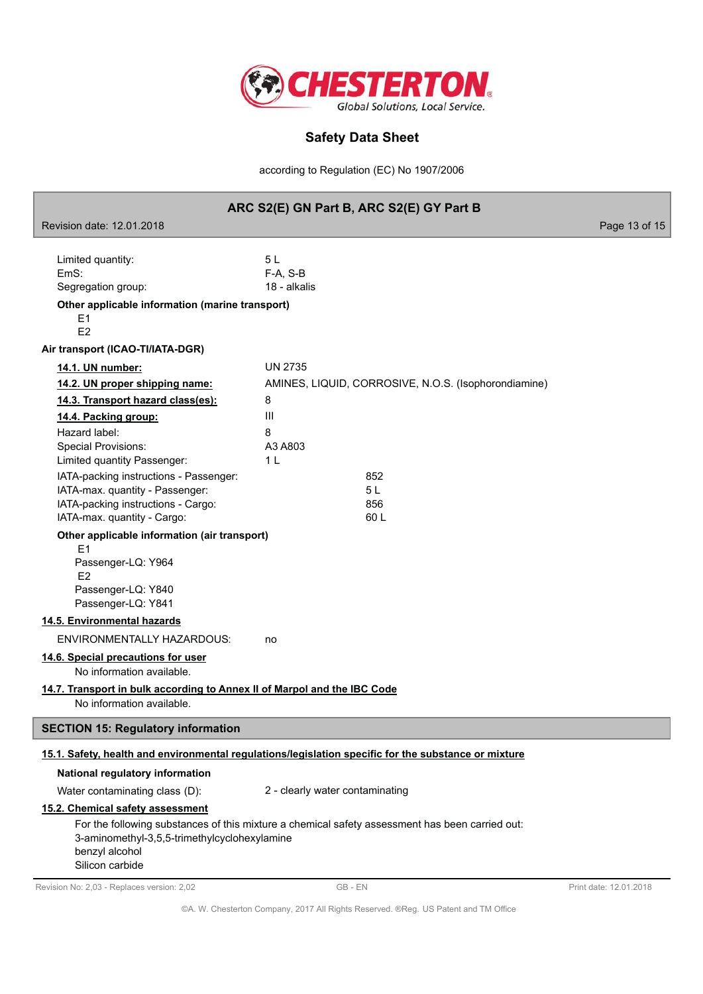

according to Regulation (EC) No 1907/2006

|                                                                                                                                                                                               | ARC S2(E) GN Part B, ARC S2(E) GY Part B                                                             |                        |
|-----------------------------------------------------------------------------------------------------------------------------------------------------------------------------------------------|------------------------------------------------------------------------------------------------------|------------------------|
| Revision date: 12.01.2018                                                                                                                                                                     |                                                                                                      | Page 13 of 15          |
| Limited quantity:<br>EmS:<br>Segregation group:<br>Other applicable information (marine transport)<br>Ε1                                                                                      | 5L<br>$F-A, S-B$<br>18 - alkalis                                                                     |                        |
| E <sub>2</sub>                                                                                                                                                                                |                                                                                                      |                        |
| Air transport (ICAO-TI/IATA-DGR)<br>14.1. UN number:                                                                                                                                          | <b>UN 2735</b>                                                                                       |                        |
| 14.2. UN proper shipping name:                                                                                                                                                                | AMINES, LIQUID, CORROSIVE, N.O.S. (Isophorondiamine)                                                 |                        |
| 14.3. Transport hazard class(es):                                                                                                                                                             | 8                                                                                                    |                        |
| 14.4. Packing group:                                                                                                                                                                          | III                                                                                                  |                        |
| Hazard label:<br><b>Special Provisions:</b><br>Limited quantity Passenger:<br>IATA-packing instructions - Passenger:<br>IATA-max. quantity - Passenger:<br>IATA-packing instructions - Cargo: | 8<br>A3 A803<br>1 <sub>L</sub><br>852<br>5L<br>856                                                   |                        |
| IATA-max. quantity - Cargo:                                                                                                                                                                   | 60 L                                                                                                 |                        |
| Other applicable information (air transport)<br>E1<br>Passenger-LQ: Y964<br>E <sub>2</sub><br>Passenger-LQ: Y840<br>Passenger-LQ: Y841                                                        |                                                                                                      |                        |
| 14.5. Environmental hazards                                                                                                                                                                   |                                                                                                      |                        |
| ENVIRONMENTALLY HAZARDOUS:                                                                                                                                                                    | no                                                                                                   |                        |
| 14.6. Special precautions for user<br>No information available.<br>14.7. Transport in bulk according to Annex II of Marpol and the IBC Code<br>No information available.                      |                                                                                                      |                        |
| <b>SECTION 15: Regulatory information</b>                                                                                                                                                     |                                                                                                      |                        |
|                                                                                                                                                                                               | 15.1. Safety, health and environmental regulations/legislation specific for the substance or mixture |                        |
| National regulatory information                                                                                                                                                               |                                                                                                      |                        |
| Water contaminating class (D):                                                                                                                                                                | 2 - clearly water contaminating                                                                      |                        |
| 15.2. Chemical safety assessment<br>3-aminomethyl-3,5,5-trimethylcyclohexylamine<br>benzyl alcohol<br>Silicon carbide                                                                         | For the following substances of this mixture a chemical safety assessment has been carried out:      |                        |
| Revision No: 2,03 - Replaces version: 2,02                                                                                                                                                    | GB-EN                                                                                                | Print date: 12.01.2018 |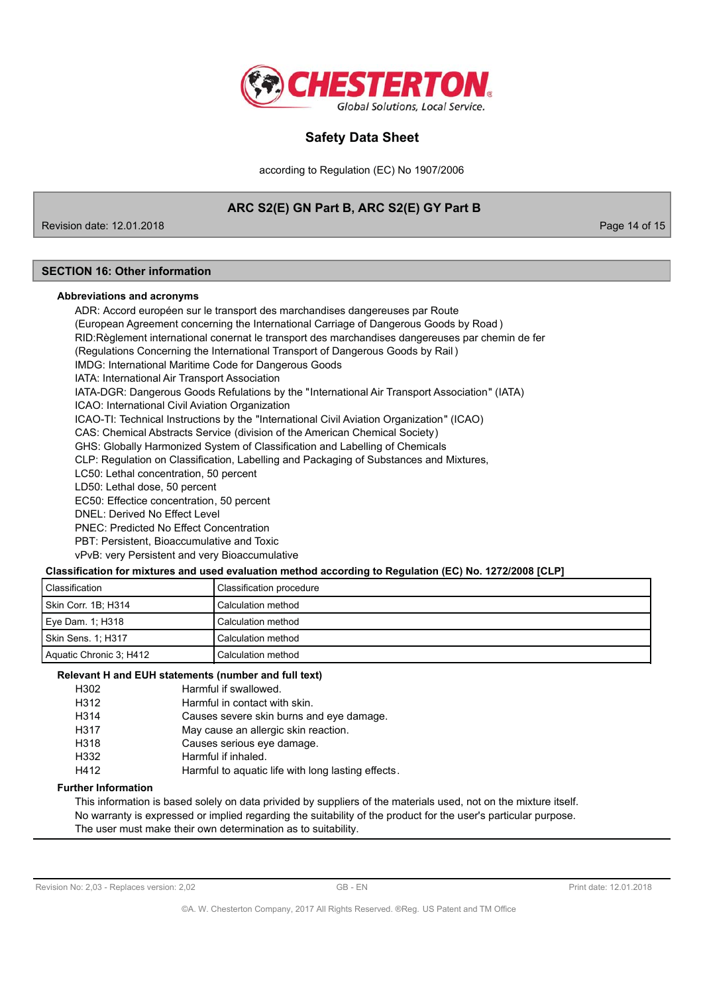

according to Regulation (EC) No 1907/2006

# ARC S2(E) GN Part B, ARC S2(E) GY Part B

Revision date: 12.01.2018

Page 14 of 15

## **SECTION 16: Other information**

### Abbreviations and acronyms

ADR: Accord européen sur le transport des marchandises dangereuses par Route (European Agreement concerning the International Carriage of Dangerous Goods by Road) RID: Règlement international conernat le transport des marchandises dangereuses par chemin de fer (Regulations Concerning the International Transport of Dangerous Goods by Rail) IMDG: International Maritime Code for Dangerous Goods IATA: International Air Transport Association IATA-DGR: Dangerous Goods Refulations by the "International Air Transport Association" (IATA) ICAO: International Civil Aviation Organization ICAO-TI: Technical Instructions by the "International Civil Aviation Organization" (ICAO) CAS: Chemical Abstracts Service (division of the American Chemical Society) GHS: Globally Harmonized System of Classification and Labelling of Chemicals CLP: Regulation on Classification, Labelling and Packaging of Substances and Mixtures, LC50: Lethal concentration. 50 percent LD50: Lethal dose, 50 percent EC50: Effectice concentration, 50 percent DNFI: Derived No Fffect Level **PNFC: Predicted No Fffect Concentration** PBT: Persistent. Bioaccumulative and Toxic vPvB: very Persistent and very Bioaccumulative

### Classification for mixtures and used evaluation method according to Regulation (EC) No. 1272/2008 [CLP]

| l Classification        | Classification procedure |
|-------------------------|--------------------------|
| Skin Corr. 1B; H314     | Calculation method       |
| Eye Dam. 1; H318        | Calculation method       |
| Skin Sens. 1; H317      | Calculation method       |
| Aquatic Chronic 3; H412 | Calculation method       |

#### Relevant H and EUH statements (number and full text)

| H302 | Harmful if swallowed.                              |
|------|----------------------------------------------------|
| H312 | Harmful in contact with skin.                      |
| H314 | Causes severe skin burns and eye damage.           |
| H317 | May cause an allergic skin reaction.               |
| H318 | Causes serious eye damage.                         |
| H332 | Harmful if inhaled.                                |
| H412 | Harmful to aquatic life with long lasting effects. |

### **Further Information**

This information is based solely on data privided by suppliers of the materials used, not on the mixture itself. No warranty is expressed or implied regarding the suitability of the product for the user's particular purpose. The user must make their own determination as to suitability.